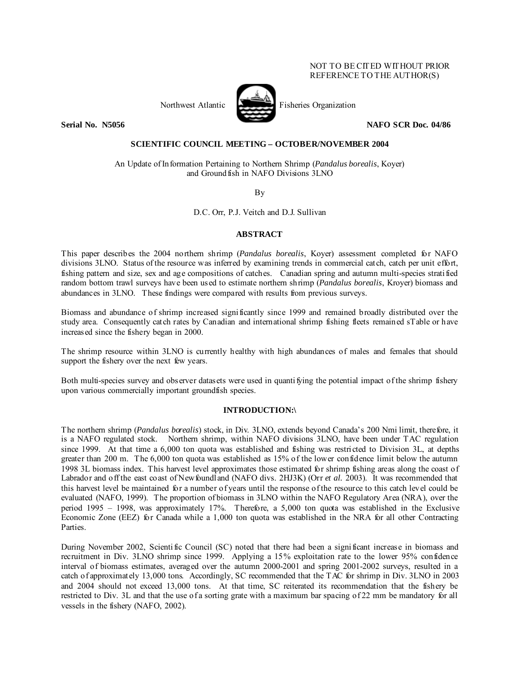# NOT TO BE CITED WITHOUT PRIOR REFERENCE TO THE AUTHOR(S)



Northwest Atlantic Fisheries Organization

**Serial No. N5056 NAFO SCR Doc. 04/86** 

## **SCIENTIFIC COUNCIL MEETING – OCTOBER/NOVEMBER 2004**

An Update of Information Pertaining to Northern Shrimp (*Pandalus borealis*, Koyer) and Groundfish in NAFO Divisions 3LNO

By

D.C. Orr, P.J. Veitch and D.J. Sullivan

# **ABSTRACT**

This paper describes the 2004 northern shrimp (*Pandalus borealis*, Koyer) assessment completed for NAFO divisions 3LNO. Status of the resource was inferred by examining trends in commercial catch, catch per unit effort, fishing pattern and size, sex and age compositions of catches. Canadian spring and autumn multi-species stratified random bottom trawl surveys have been used to estimate northern shrimp (*Pandalus borealis*, Kroyer) biomass and abundances in 3LNO. These findings were compared with results from previous surveys.

Biomass and abundance of shrimp increased significantly since 1999 and remained broadly distributed over the study area. Consequently catch rates by Canadian and international shrimp fishing fleets remained sTable or have increased since the fishery began in 2000.

The shrimp resource within 3LNO is currently healthy with high abundances of males and females that should support the fishery over the next few years.

Both multi-species survey and observer datasets were used in quantifying the potential impact of the shrimp fishery upon various commercially important groundfish species.

## **INTRODUCTION:\**

The northern shrimp (*Pandalus borealis*) stock, in Div. 3LNO, extends beyond Canada's 200 Nmi limit, therefore, it is a NAFO regulated stock. Northern shrimp, within NAFO divisions 3LNO, have been under TAC regulation since 1999. At that time a 6,000 ton quota was established and fishing was restricted to Division 3L, at depths greater than 200 m. The 6,000 ton quota was established as 15% of the lower confidence limit below the autumn 1998 3L biomass index. This harvest level approximates those estimated for shrimp fishing areas along the coast of Labrador and off the east coast of Newfoundland (NAFO divs. 2HJ3K) (Orr *et al.* 2003). It was recommended that this harvest level be maintained for a number of years until the response of the resource to this catch level could be evaluated (NAFO, 1999). The proportion of biomass in 3LNO within the NAFO Regulatory Area (NRA), over the period 1995 – 1998, was approximately 17%. Therefore, a 5,000 ton quota was established in the Exclusive Economic Zone (EEZ) for Canada while a 1,000 ton quota was established in the NRA for all other Contracting **Parties** 

During November 2002, Scientific Council (SC) noted that there had been a significant increase in biomass and recruitment in Div. 3LNO shrimp since 1999. Applying a 15% exploitation rate to the lower 95% confidence interval of biomass estimates, averaged over the autumn 2000-2001 and spring 2001-2002 surveys, resulted in a catch of approximately 13,000 tons. Accordingly, SC recommended that the TAC for shrimp in Div. 3LNO in 2003 and 2004 should not exceed 13,000 tons. At that time, SC reiterated its recommendation that the fishery be restricted to Div. 3L and that the use of a sorting grate with a maximum bar spacing of 22 mm be mandatory for all vessels in the fishery (NAFO, 2002).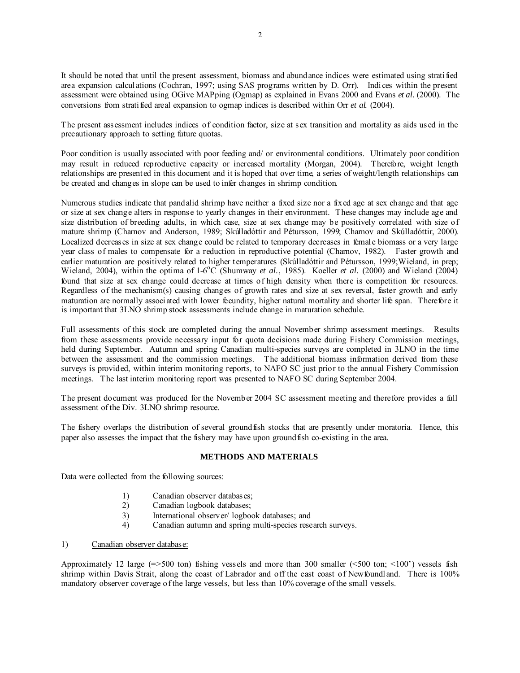It should be noted that until the present assessment, biomass and abundance indices were estimated using stratified area expansion calculations (Cochran, 1997; using SAS programs written by D. Orr). Indices within the present assessment were obtained using OGive MAPping (Ogmap) as explained in Evans 2000 and Evans *et al.* (2000). The conversions from stratified areal expansion to ogmap indices is described within Orr *et al.* (2004).

The present assessment includes indices of condition factor, size at sex transition and mortality as aids used in the precautionary approach to setting future quotas.

Poor condition is usually associated with poor feeding and/ or environmental conditions. Ultimately poor condition may result in reduced reproductive capacity or increased mortality (Morgan, 2004). Therefore, weight length relationships are presented in this document and it is hoped that over time, a series of weight/length relationships can be created and changes in slope can be used to infer changes in shrimp condition.

Numerous studies indicate that pandalid shrimp have neither a fixed size nor a fixed age at sex change and that age or size at sex change alters in response to yearly changes in their environment. These changes may include age and size distribution of breeding adults, in which case, size at sex change may be positively correlated with size of mature shrimp (Charnov and Anderson, 1989; Skúlladóttir and Pétursson, 1999; Charnov and Skúlladóttir, 2000). Localized decreases in size at sex change could be related to temporary decreases in female biomass or a very large year class of males to compensate for a reduction in reproductive potential (Charnov, 1982). Faster growth and earlier maturation are positively related to higher temperatures (Skúlladóttir and Pétursson, 1999;Wieland, in prep; Wieland, 2004), within the optima of 1-6<sup>o</sup>C (Shumway *et al.*, 1985). Koeller *et al.* (2000) and Wieland (2004) found that size at sex change could decrease at times of high density when there is competition for resources. Regardless of the mechanism(s) causing changes of growth rates and size at sex reversal, faster growth and early maturation are normally associated with lower fecundity, higher natural mortality and shorter life span. Therefore it is important that 3LNO shrimp stock assessments include change in maturation schedule.

Full assessments of this stock are completed during the annual November shrimp assessment meetings. Results from these assessments provide necessary input for quota decisions made during Fishery Commission meetings, held during September. Autumn and spring Canadian multi-species surveys are completed in 3LNO in the time between the assessment and the commission meetings. The additional biomass information derived from these surveys is provided, within interim monitoring reports, to NAFO SC just prior to the annual Fishery Commission meetings. The last interim monitoring report was presented to NAFO SC during September 2004.

The present document was produced for the November 2004 SC assessment meeting and therefore provides a full assessment of the Div. 3LNO shrimp resource.

The fishery overlaps the distribution of several groundfish stocks that are presently under moratoria. Hence, this paper also assesses the impact that the fishery may have upon groundfish co-existing in the area.

# **METHODS AND MATERIALS**

Data were collected from the following sources:

- 1) Canadian observer databases;<br>2) Canadian logbook databases;
- Canadian logbook databases;
- 3) International observer/ logbook databases; and
- 4) Canadian autumn and spring multi-species research surveys.

## 1) Canadian observer database:

Approximately 12 large  $(=500 \text{ ton})$  fishing vessels and more than 300 smaller  $(<500 \text{ ton}; <100'$ ) vessels fish shrimp within Davis Strait, along the coast of Labrador and off the east coast of Newfoundland. There is 100% mandatory observer coverage of the large vessels, but less than 10% coverage of the small vessels.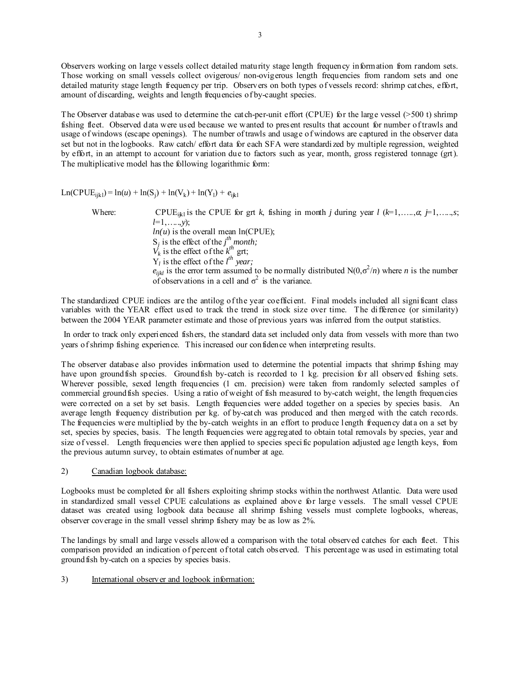Observers working on large vessels collect detailed maturity stage length frequency information from random sets. Those working on small vessels collect ovigerous/ non-ovigerous length frequencies from random sets and one detailed maturity stage length frequency per trip. Observers on both types of vessels record: shrimp catches, effort, amount of discarding, weights and length frequencies of by-caught species.

The Observer database was used to determine the catch-per-unit effort (CPUE) for the large vessel ( $>500$  t) shrimp fishing fleet. Observed data were used because we wanted to present results that account for number of trawls and usage of windows (escape openings). The number of trawls and usage of windows are captured in the observer data set but not in the logbooks. Raw catch/ effort data for each SFA were standardized by multiple regression, weighted by effort, in an attempt to account for variation due to factors such as year, month, gross registered tonnage (grt). The multiplicative model has the following logarithmic form:

 $Ln(CPUE<sub>ijkl</sub>) = ln(u) + ln(S<sub>j</sub>) + ln(V<sub>k</sub>) + ln(Y<sub>l</sub>) + e<sub>ijkl</sub>$ 

Where: CPUE<sub>ikl</sub> is the CPUE for grt *k*, fishing in month *j* during year *l* ( $k=1,\ldots,a$ ;  $j=1,\ldots,s$ ; *l*=1,…..,*y*);  $ln(u)$  is the overall mean  $ln(CPUE)$ ;  $S_j$  is the effect of the *j*<sup>th</sup> month;  $V_k$  is the effect of the  $k^{\text{th}}$  grt;  $Y_l$  is the effect of the  $l^{th}$  year;  $e_{ijkl}$  is the error term assumed to be normally distributed N(0, $\sigma^2/n$ ) where *n* is the number of observations in a cell and  $\sigma^2$  is the variance.

The standardized CPUE indices are the antilog of the year coefficient. Final models included all significant class variables with the YEAR effect used to track the trend in stock size over time. The difference (or similarity) between the 2004 YEAR parameter estimate and those of previous years was inferred from the output statistics.

 In order to track only experienced fishers, the standard data set included only data from vessels with more than two years of shrimp fishing experience. This increased our confidence when interpreting results.

The observer database also provides information used to determine the potential impacts that shrimp fishing may have upon groundfish species. Groundfish by-catch is recorded to 1 kg. precision for all observed fishing sets. Wherever possible, sexed length frequencies (1 cm. precision) were taken from randomly selected samples of commercial groundfish species. Using a ratio of weight of fish measured to by-catch weight, the length frequencies were corrected on a set by set basis. Length frequencies were added together on a species by species basis. An average length frequency distribution per kg. of by-catch was produced and then merged with the catch records. The frequencies were multiplied by the by-catch weights in an effort to produce length frequency data on a set by set, species by species, basis. The length frequencies were aggregated to obtain total removals by species, year and size of vessel. Length frequencies were then applied to species specific population adjusted age length keys, from the previous autumn survey, to obtain estimates of number at age.

2) Canadian logbook database:

Logbooks must be completed for all fishers exploiting shrimp stocks within the northwest Atlantic. Data were used in standardized small vessel CPUE calculations as explained above for large vessels. The small vessel CPUE dataset was created using logbook data because all shrimp fishing vessels must complete logbooks, whereas, observer coverage in the small vessel shrimp fishery may be as low as 2%.

The landings by small and large vessels allowed a comparison with the total observed catches for each fleet. This comparison provided an indication of percent of total catch observed. This percentage was used in estimating total groundfish by-catch on a species by species basis.

3) International observer and logbook information: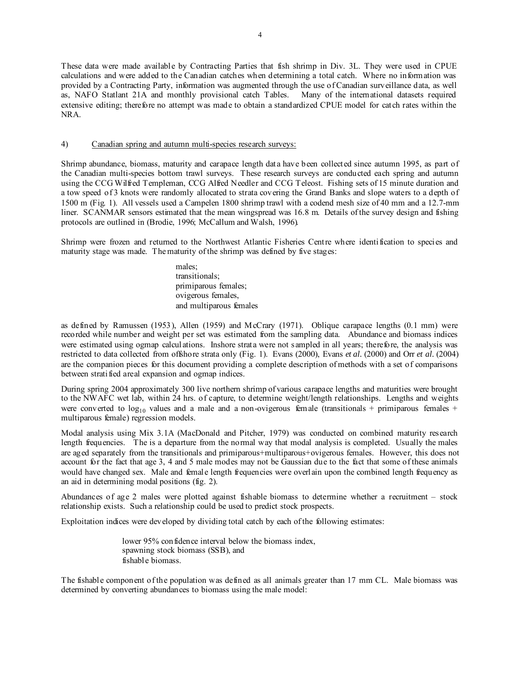These data were made available by Contracting Parties that fish shrimp in Div. 3L. They were used in CPUE calculations and were added to the Canadian catches when determining a total catch. Where no information was provided by a Contracting Party, information was augmented through the use of Canadian surveillance data, as well as, NAFO Statlant 21A and monthly provisional catch Tables. Many of the international datasets required extensive editing; therefore no attempt was made to obtain a standardized CPUE model for catch rates within the NRA.

## 4) Canadian spring and autumn multi-species research surveys:

Shrimp abundance, biomass, maturity and carapace length data have been collected since autumn 1995, as part of the Canadian multi-species bottom trawl surveys. These research surveys are conducted each spring and autumn using the CCG Wilfred Templeman, CCG Alfred Needler and CCG Teleost. Fishing sets of 15 minute duration and a tow speed of 3 knots were randomly allocated to strata covering the Grand Banks and slope waters to a depth of 1500 m (Fig. 1). All vessels used a Campelen 1800 shrimp trawl with a codend mesh size of 40 mm and a 12.7-mm liner. SCANMAR sensors estimated that the mean wingspread was 16.8 m. Details of the survey design and fishing protocols are outlined in (Brodie, 1996; McCallum and Walsh, 1996).

Shrimp were frozen and returned to the Northwest Atlantic Fisheries Centre where identification to species and maturity stage was made. The maturity of the shrimp was defined by five stages:

> males; transitionals; primiparous females; ovigerous females, and multiparous females

as defined by Ramussen (1953), Allen (1959) and McCrary (1971). Oblique carapace lengths (0.1 mm) were recorded while number and weight per set was estimated from the sampling data. Abundance and biomass indices were estimated using ogmap calculations. Inshore strata were not sampled in all years; therefore, the analysis was restricted to data collected from offshore strata only (Fig. 1). Evans (2000), Evans *et al.* (2000) and Orr *et al.* (2004) are the companion pieces for this document providing a complete description of methods with a set of comparisons between stratified areal expansion and ogmap indices.

During spring 2004 approximately 300 live northern shrimp of various carapace lengths and maturities were brought to the NWAFC wet lab, within 24 hrs. of capture, to determine weight/length relationships. Lengths and weights were converted to  $log_{10}$  values and a male and a non-ovigerous female (transitionals + primiparous females + multiparous female) regression models.

Modal analysis using Mix 3.1A (MacDonald and Pitcher, 1979) was conducted on combined maturity research length frequencies. The is a departure from the normal way that modal analysis is completed. Usually the males are aged separately from the transitionals and primiparous+multiparous+ovigerous females. However, this does not account for the fact that age 3, 4 and 5 male modes may not be Gaussian due to the fact that some of these animals would have changed sex. Male and female length frequencies were overlain upon the combined length frequency as an aid in determining modal positions (fig. 2).

Abundances of age 2 males were plotted against fishable biomass to determine whether a recruitment – stock relationship exists. Such a relationship could be used to predict stock prospects.

Exploitation indices were developed by dividing total catch by each of the following estimates:

lower 95% confidence interval below the biomass index, spawning stock biomass (SSB), and fishable biomass.

The fishable component of the population was defined as all animals greater than 17 mm CL. Male biomass was determined by converting abundances to biomass using the male model: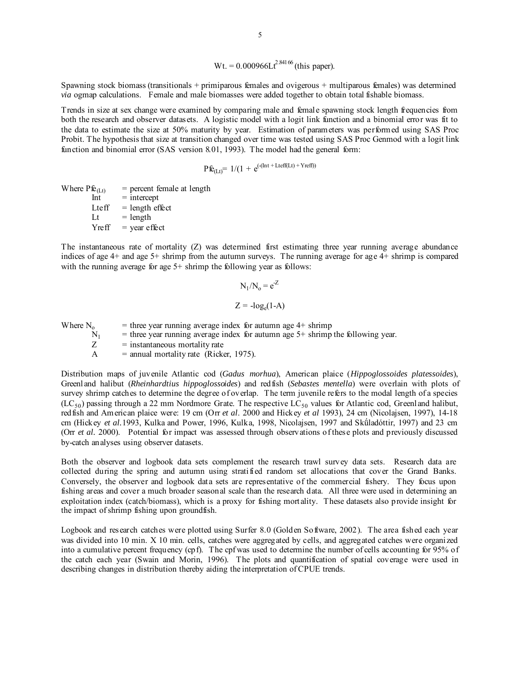Wt. = 
$$
0.000966Lt^{2.84166}
$$
 (this paper).

Spawning stock biomass (transitionals + primiparous females and ovigerous + multiparous females) was determined *via* ogmap calculations. Female and male biomasses were added together to obtain total fishable biomass.

Trends in size at sex change were examined by comparing male and female spawning stock length frequencies from both the research and observer datasets. A logistic model with a logit link function and a binomial error was fit to the data to estimate the size at 50% maturity by year. Estimation of parameters was performed using SAS Proc Probit. The hypothesis that size at transition changed over time was tested using SAS Proc Genmod with a logit link function and binomial error (SAS version 8.01, 1993). The model had the general form:

$$
P\hat{\mathbf{E}}_{(Lt)} = 1/(1 + e^{(-(\text{Int} + \text{Letff}(Lt) + \text{Yreff}))}
$$

Where  $\text{Pf}e_{(Lt)}$  = percent female at length<br>Int = intercept  $=$  intercept Lteff  $=$  length effect  $Lt = length$  $Yreff = year effect$ 

The instantaneous rate of mortality (Z) was determined first estimating three year running average abundance indices of age 4+ and age 5+ shrimp from the autumn surveys. The running average for age 4+ shrimp is compared with the running average for age 5+ shrimp the following year as follows:

$$
N_1/N_0 = e^{Z}
$$

$$
Z = -\log_e(1-A)
$$

Where  $N_0$  = three year running average index for autumn age 4+ shrimp<br>= three year running average index for autumn age 5+ shrimp  $N_1$  = three year running average index for autumn age 5+ shrimp the following year.<br>Z = instantaneous mortality rate  $=$  instantaneous mortality rate  $A =$  annual mortality rate (Ricker, 1975).

Distribution maps of juvenile Atlantic cod (*Gadus morhua*), American plaice (*Hippoglossoides platessoides*), Greenland halibut (*Rheinhardtius hippoglossoides*) and redfish (*Sebastes mentella*) were overlain with plots of survey shrimp catches to determine the degree of overlap. The term juvenile refers to the modal length of a species  $(LC_{50})$  passing through a 22 mm Nordmore Grate. The respective LC<sub>50</sub> values for Atlantic cod, Greenland halibut, redfish and American plaice were: 19 cm (Orr *et al*. 2000 and Hickey *et al* 1993), 24 cm (Nicolajsen, 1997), 14-18 cm (Hickey *et al.*1993, Kulka and Power, 1996, Kulka, 1998, Nicolajsen, 1997 and Skǘladóttir, 1997) and 23 cm (Orr *et al.* 2000). Potential for impact was assessed through observations of these plots and previously discussed by-catch analyses using observer datasets.

Both the observer and logbook data sets complement the research trawl survey data sets. Research data are collected during the spring and autumn using stratified random set allocations that cover the Grand Banks. Conversely, the observer and logbook data sets are representative of the commercial fishery. They focus upon fishing areas and cover a much broader seasonal scale than the research data. All three were used in determining an exploitation index (catch/biomass), which is a proxy for fishing mortality. These datasets also provide insight for the impact of shrimp fishing upon groundfish.

Logbook and research catches were plotted using Surfer 8.0 (Golden Software, 2002). The area fished each year was divided into 10 min. X 10 min. cells, catches were aggregated by cells, and aggregated catches were organized into a cumulative percent frequency (cpf). The cpf was used to determine the number of cells accounting for 95% of the catch each year (Swain and Morin, 1996). The plots and quantification of spatial coverage were used in describing changes in distribution thereby aiding the interpretation of CPUE trends.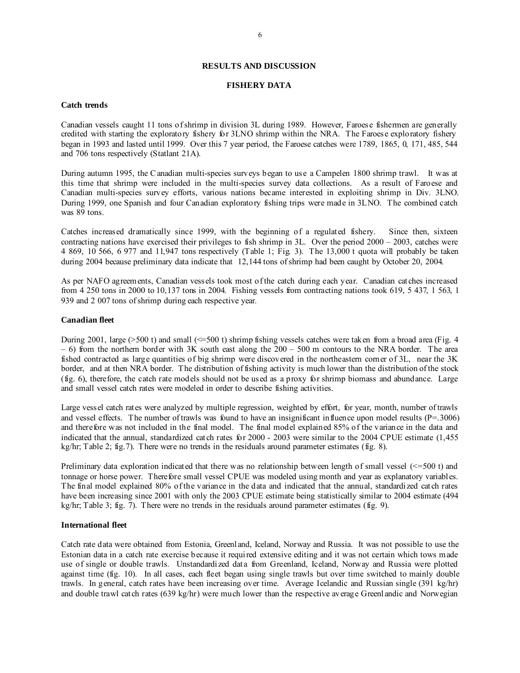## **RESULTS AND DISCUSSION**

## **FISHERY DATA**

### **Catch trends**

 Canadian vessels caught 11 tons of shrimp in division 3L during 1989. However, Faroese fishermen are generally credited with starting the exploratory fishery for 3LNO shrimp within the NRA. The Faroese exploratory fishery began in 1993 and lasted until 1999. Over this 7 year period, the Faroese catches were 1789, 1865, 0, 171, 485, 544 and 706 tons respectively (Statlant 21A).

During autumn 1995, the C anadian multi-species surveys began to use a Campelen 1800 shrimp trawl. It was at this time that shrimp were included in the multi-species survey data collections. As a result of Faroese and Canadian multi-species survey efforts, various nations became interested in exploiting shrimp in Div. 3LNO. During 1999, one Spanish and four Canadian exploratory fishing trips were made in 3LNO. The combined catch was  $89$  tons.

Catches increased dramatically since 1999, with the beginning of a regulated fishery. Since then, sixteen contracting nations have exercised their privileges to fish shrimp in 3L. Over the period 2000 – 2003, catches were 4 869, 10 566, 6 977 and 11,947 tons respectively (Table 1; Fig. 3). The 13,000 t quota will probably be taken during 2004 because preliminary data indicate that 12,144 tons of shrimp had been caught by October 20, 2004.

As per NAFO agreements, Canadian vessels took most of the catch during each year. Canadian catches increased from 4 250 tons in 2000 to 10,137 tons in 2004. Fishing vessels from contracting nations took 619, 5 437, 1 563, 1 939 and 2 007 tons of shrimp during each respective year.

### **Canadian fleet**

During 2001, large ( $>500$  t) and small ( $\leq 500$  t) shrimp fishing vessels catches were taken from a broad area (Fig. 4)  $-6$ ) from the northern border with 3K south east along the  $200 - 500$  m contours to the NRA border. The area fished contracted as large quantities of big shrimp were discovered in the northeastern corner of 3L, near the 3K border, and at then NRA border. The distribution of fishing activity is much lower than the distribution of the stock (fig. 6), therefore, the catch rate models should not be used as a proxy for shrimp biomass and abundance. Large and small vessel catch rates were modeled in order to describe fishing activities.

Large vessel catch rates were analyzed by multiple regression, weighted by effort, for year, month, number of trawls and vessel effects. The number of trawls was found to have an insignificant influence upon model results  $(P=3006)$ and therefore was not included in the final model. The final model explained 85% of the variance in the data and indicated that the annual, standardized catch rates for 2000 - 2003 were similar to the 2004 CPUE estimate (1,455 kg/hr; Table 2; fig.7). There were no trends in the residuals around parameter estimates (fig. 8).

Preliminary data exploration indicated that there was no relationship between length of small vessel  $\ll$ =500 t) and tonnage or horse power. Therefore small vessel CPUE was modeled using month and year as explanatory variables. The final model explained 80% of the variance in the data and indicated that the annual, standardized catch rates have been increasing since 2001 with only the 2003 CPUE estimate being statistically similar to 2004 estimate (494 kg/hr; Table 3; fig.  $\overline{7}$ ). There were no trends in the residuals around parameter estimates (fig. 9).

#### **International fleet**

Catch rate data were obtained from Estonia, Greenland, Iceland, Norway and Russia. It was not possible to use the Estonian data in a catch rate exercise because it required extensive editing and it was not certain which tows made use of single or double trawls. Unstandardized data from Greenland, Iceland, Norway and Russia were plotted against time (fig. 10). In all cases, each fleet began using single trawls but over time switched to mainly double trawls. In general, catch rates have been increasing over time. Average Icelandic and Russian single (391 kg/hr) and double trawl catch rates (639 kg/hr) were much lower than the respective average Greenlandic and Norwegian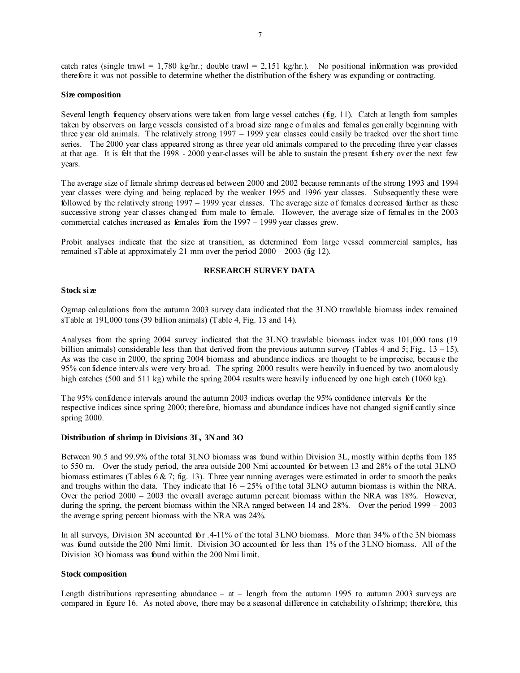| catch rates (single trawl = 1,780 kg/hr.; double trawl = 2,151 kg/hr.). No positional information was provided    |  |  |  |
|-------------------------------------------------------------------------------------------------------------------|--|--|--|
| there fore it was not possible to determine whether the distribution of the fishery was expanding or contracting. |  |  |  |

## **Size composition**

Several length frequency observations were taken from large vessel catches (fig. 11). Catch at length from samples taken by observers on large vessels consisted of a broad size range of males and females generally beginning with three year old animals. The relatively strong 1997 – 1999 year classes could easily be tracked over the short time series. The 2000 year class appeared strong as three year old animals compared to the preceding three year classes at that age. It is felt that the 1998 - 2000 year-classes will be able to sustain the present fishery over the next few years.

The average size of female shrimp decreased between 2000 and 2002 because remnants of the strong 1993 and 1994 year classes were dying and being replaced by the weaker 1995 and 1996 year classes. Subsequently these were followed by the relatively strong 1997 – 1999 year classes. The average size of females decreased further as these successive strong year classes changed from male to female. However, the average size of females in the 2003 commercial catches increased as females from the 1997 – 1999 year classes grew.

Probit analyses indicate that the size at transition, as determined from large vessel commercial samples, has remained sTable at approximately 21 mm over the period 2000 – 2003 (fig 12).

## **RESEARCH SURVEY DATA**

## **Stock size**

Ogmap calculations from the autumn 2003 survey data indicated that the 3LNO trawlable biomass index remained sTable at 191,000 tons (39 billion animals) (Table 4, Fig. 13 and 14).

Analyses from the spring 2004 survey indicated that the 3LNO trawlable biomass index was 101,000 tons (19 billion animals) considerable less than that derived from the previous autumn survey (Tables 4 and 5; Fig.. 13 – 15). As was the case in 2000, the spring 2004 biomass and abundance indices are thought to be imprecise, because the 95% confidence intervals were very broad. The spring 2000 results were heavily influenced by two anomalously high catches (500 and 511 kg) while the spring 2004 results were heavily influenced by one high catch (1060 kg).

The 95% confidence intervals around the autumn 2003 indices overlap the 95% confidence intervals for the respective indices since spring 2000; therefore, biomass and abundance indices have not changed significantly since spring 2000.

#### **Distribution of shrimp in Divisions 3L, 3N and 3O**

Between 90.5 and 99.9% of the total 3LNO biomass was found within Division 3L, mostly within depths from 185 to 550 m. Over the study period, the area outside 200 Nmi accounted for between 13 and 28% of the total 3LNO biomass estimates (Tables 6 & 7; fig. 13). Three year running averages were estimated in order to smooth the peaks and troughs within the data. They indicate that  $16 - 25%$  of the total 3LNO autumn biomass is within the NRA. Over the period 2000 – 2003 the overall average autumn percent biomass within the NRA was 18%. However, during the spring, the percent biomass within the NRA ranged between 14 and 28%. Over the period 1999 – 2003 the average spring percent biomass with the NRA was 24%.

In all surveys, Division 3N accounted for .4-11% of the total 3LNO biomass. More than 34% of the 3N biomass was found outside the 200 Nmi limit. Division 3O accounted for less than 1% of the 3LNO biomass. All of the Division 3O biomass was found within the 200 Nmi limit.

### **Stock composition**

Length distributions representing abundance  $-$  at  $-$  length from the autumn 1995 to autumn 2003 surveys are compared in figure 16. As noted above, there may be a seasonal difference in catchability of shrimp; therefore, this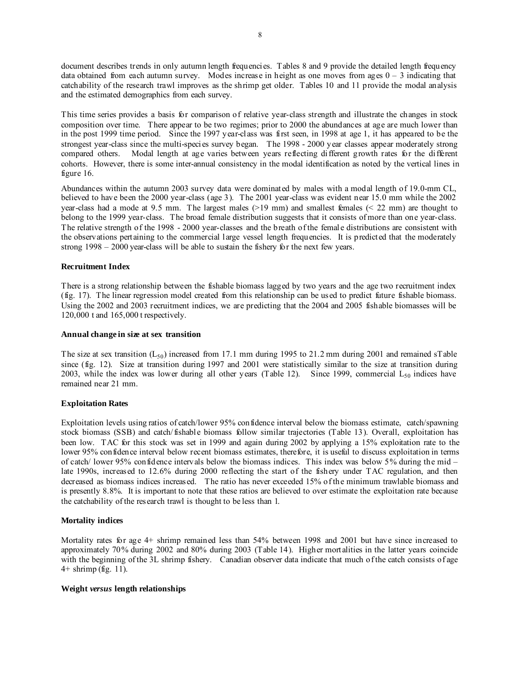document describes trends in only autumn length frequencies. Tables 8 and 9 provide the detailed length frequency data obtained from each autumn survey. Modes increase in height as one moves from ages  $0 - 3$  indicating that catchability of the research trawl improves as the shrimp get older. Tables 10 and 11 provide the modal analysis and the estimated demographics from each survey.

This time series provides a basis for comparison of relative year-class strength and illustrate the changes in stock composition over time. There appear to be two regimes; prior to 2000 the abundances at age are much lower than in the post 1999 time period. Since the 1997 year-class was first seen, in 1998 at age 1, it has appeared to be the strongest year-class since the multi-species survey began. The 1998 - 2000 year classes appear moderately strong compared others. Modal length at age varies between years reflecting different growth rates for the different cohorts. However, there is some inter-annual consistency in the modal identification as noted by the vertical lines in figure 16.

Abundances within the autumn 2003 survey data were dominated by males with a modal length of 19.0-mm CL, believed to have been the 2000 year-class (age 3). The 2001 year-class was evident near 15.0 mm while the 2002 year-class had a mode at 9.5 mm. The largest males  $(>19 \text{ mm})$  and smallest females  $( $22 \text{ mm}$ )$  are thought to belong to the 1999 year-class. The broad female distribution suggests that it consists of more than one year-class. The relative strength of the 1998 - 2000 year-classes and the breath of the female distributions are consistent with the observations pertaining to the commercial large vessel length frequencies. It is predicted that the moderately strong 1998 – 2000 year-class will be able to sustain the fishery for the next few years.

## **Recruitment Index**

There is a strong relationship between the fishable biomass lagged by two years and the age two recruitment index (fig. 17). The linear regression model created from this relationship can be used to predict future fishable biomass. Using the 2002 and 2003 recruitment indices, we are predicting that the 2004 and 2005 fishable biomasses will be 120,000 t and 165,000 t respectively.

## **Annual change in size at sex transition**

The size at sex transition  $(L_{50})$  increased from 17.1 mm during 1995 to 21.2 mm during 2001 and remained sTable since (fig. 12). Size at transition during 1997 and 2001 were statistically similar to the size at transition during 2003, while the index was lower during all other years (Table 12). Since 1999, commercial  $L_{50}$  indices have remained near 21 mm.

## **Exploitation Rates**

Exploitation levels using ratios of catch/lower 95% confidence interval below the biomass estimate, catch/spawning stock biomass (SSB) and catch/fishable biomass follow similar trajectories (Table 13). Overall, exploitation has been low. TAC for this stock was set in 1999 and again during 2002 by applying a 15% exploitation rate to the lower 95% confidence interval below recent biomass estimates, therefore, it is useful to discuss exploitation in terms of catch/ lower 95% confidence intervals below the biomass indices. This index was below 5% during the mid – late 1990s, increased to 12.6% during 2000 reflecting the start of the fishery under TAC regulation, and then decreased as biomass indices increased. The ratio has never exceeded 15% of the minimum trawlable biomass and is presently 8.8%. It is important to note that these ratios are believed to over estimate the exploitation rate because the catchability of the research trawl is thought to be less than 1.

## **Mortality indices**

Mortality rates for age 4+ shrimp remained less than 54% between 1998 and 2001 but have since increased to approximately 70% during 2002 and 80% during 2003 (Table 14). Higher mortalities in the latter years coincide with the beginning of the 3L shrimp fishery. Canadian observer data indicate that much of the catch consists of age 4+ shrimp (fig. 11).

## **Weight** *versus* **length relationships**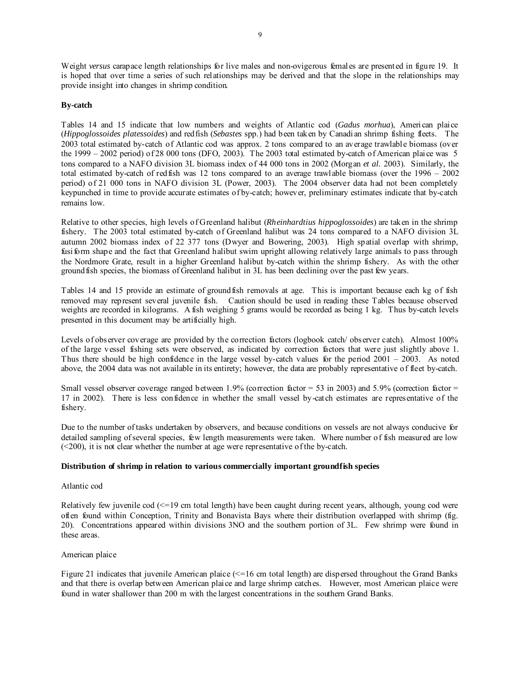Weight *versus* carapace length relationships for live males and non-ovigerous females are presented in figure 19. It is hoped that over time a series of such relationships may be derived and that the slope in the relationships may provide insight into changes in shrimp condition.

# **By-catch**

Tables 14 and 15 indicate that low numbers and weights of Atlantic cod (*Gadus morhua*), American plaice (*Hippoglossoides platessoides*) and redfish (*Sebastes* spp.) had been taken by Canadian shrimp fishing fleets. The 2003 total estimated by-catch of Atlantic cod was approx. 2 tons compared to an average trawlable biomass (over the 1999 – 2002 period) of 28 000 tons (DFO, 2003). The 2003 total estimated by-catch of American plaice was 5 tons compared to a NAFO division 3L biomass index of 44 000 tons in 2002 (Morgan *et al.* 2003). Similarly, the total estimated by-catch of redfish was 12 tons compared to an average trawlable biomass (over the 1996 – 2002 period) of 21 000 tons in NAFO division 3L (Power, 2003). The 2004 observer data had not been completely keypunched in time to provide accurate estimates of by-catch; however, preliminary estimates indicate that by-catch remains low.

Relative to other species, high levels of Greenland halibut (*Rheinhardtius hippoglossoides*) are taken in the shrimp fishery. The 2003 total estimated by-catch of Greenland halibut was 24 tons compared to a NAFO division 3L autumn 2002 biomass index of 22 377 tons (Dwyer and Bowering, 2003). High spatial overlap with shrimp, fusiform shape and the fact that Greenland halibut swim upright allowing relatively large animals to pass through the Nordmore Grate, result in a higher Greenland halibut by-catch within the shrimp fishery. As with the other groundfish species, the biomass of Greenland halibut in 3L has been declining over the past few years.

Tables 14 and 15 provide an estimate of groundfish removals at age. This is important because each kg of fish removed may represent several juvenile fish. Caution should be used in reading these Tables because observed weights are recorded in kilograms. A fish weighing 5 grams would be recorded as being 1 kg. Thus by-catch levels presented in this document may be artificially high.

Levels of observer coverage are provided by the correction factors (logbook catch/ observer catch). Almost 100% of the large vessel fishing sets were observed, as indicated by correction factors that were just slightly above 1. Thus there should be high confidence in the large vessel by-catch values for the period 2001 – 2003. As noted above, the 2004 data was not available in its entirety; however, the data are probably representative of fleet by-catch.

Small vessel observer coverage ranged between 1.9% (correction factor =  $53$  in 2003) and  $5.9%$  (correction factor = 17 in 2002). There is less confidence in whether the small vessel by-catch estimates are representative of the fishery.

Due to the number of tasks undertaken by observers, and because conditions on vessels are not always conducive for detailed sampling of several species, few length measurements were taken. Where number of fish measured are low (<200), it is not clear whether the number at age were representative of the by-catch.

## **Distribution of shrimp in relation to various commercially important groundfish species**

## Atlantic cod

Relatively few juvenile cod  $\leq$ =19 cm total length) have been caught during recent years, although, young cod were often found within Conception, Trinity and Bonavista Bays where their distribution overlapped with shrimp (fig. 20). Concentrations appeared within divisions 3NO and the southern portion of 3L. Few shrimp were found in these areas.

## American plaice

Figure 21 indicates that juvenile American plaice  $\leq$ =16 cm total length) are dispersed throughout the Grand Banks and that there is overlap between American plaice and large shrimp catches. However, most American plaice were found in water shallower than 200 m with the largest concentrations in the southern Grand Banks.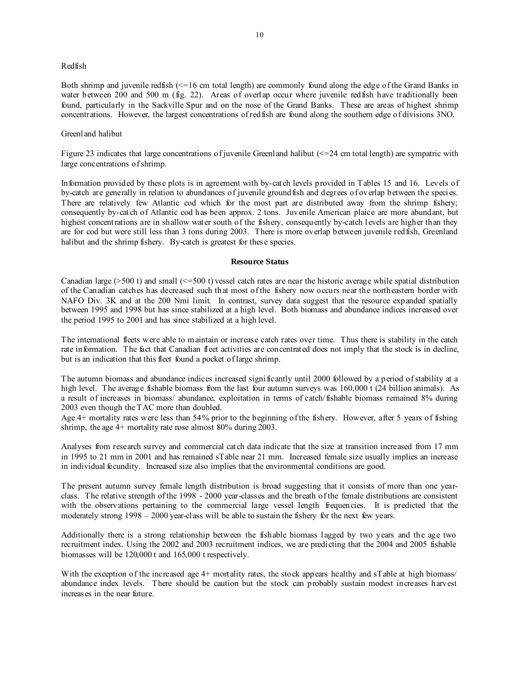## Redfish

10

Both shrimp and juvenile redfish (<=16 cm total length) are commonly found along the edge of the Grand Banks in water between 200 and 500 m (fig. 22). Areas of overlap occur where juvenile redfish have traditionally been found, particularly in the Sackville Spur and on the nose of the Grand Banks. These are areas of highest shrimp concentrations. However, the largest concentrations of redfish are found along the southern edge of divisions 3NO.

# Greenland halibut

Figure 23 indicates that large concentrations of juvenile Greenland halibut  $\ll$  =24 cm total length) are sympatric with large concentrations of shrimp.

Information provided by these plots is in agreement with by-catch levels provided in Tables 15 and 16. Levels of by-catch are generally in relation to abundances of juvenile groundfish and degrees of overlap between the species. There are relatively few Atlantic cod which for the most part are distributed away from the shrimp fishery; consequently by-catch of Atlantic cod has been approx. 2 tons. Juvenile American plaice are more abundant, but highest concentrations are in shallow water south of the fishery, consequently by-catch levels are higher than they are for cod but were still less than 3 tons during 2003. There is more overlap between juvenile redfish, Greenland halibut and the shrimp fishery. By-catch is greatest for these species.

## **Resource Status**

Canadian large  $(>500 t)$  and small  $(<=500 t)$  vessel catch rates are near the historic average while spatial distribution of the Canadian catches has decreased such that most of the fishery now occurs near the northeastern border with NAFO Div. 3K and at the 200 Nmi limit. In contrast, survey data suggest that the resource expanded spatially between 1995 and 1998 but has since stabilized at a high level. Both biomass and abundance indices increased over the period 1995 to 2001 and has since stabilized at a high level.

The international fleets were able to maintain or increase catch rates over time. Thus there is stability in the catch rate information. The fact that Canadian fleet activities are concentrated does not imply that the stock is in decline, but is an indication that this fleet found a pocket of large shrimp.

The autumn biomass and abundance indices increased significantly until 2000 followed by a period of stability at a high level. The average fishable biomass from the last four autumn surveys was  $160,000$  t (24 billion animals). As a result of increases in biomass/ abundance, exploitation in terms of catch/fishable biomass remained 8% during 2003 even though the TAC more than doubled.

Age 4+ mortality rates were less than 54% prior to the beginning of the fishery. However, after 5 years of fishing shrimp, the age 4+ mortality rate rose almost 80% during 2003.

Analyses from research survey and commercial catch data indicate that the size at transition increased from 17 mm in 1995 to 21 mm in 2001 and has remained sTable near 21 mm. Increased female size usually implies an increase in individual fecundity. Increased size also implies that the environmental conditions are good.

The present autumn survey female length distribution is broad suggesting that it consists of more than one yearclass. The relative strength of the 1998 - 2000 year-classes and the breath of the female distributions are consistent with the observations pertaining to the commercial large vessel length frequencies. It is predicted that the moderately strong 1998 – 2000 year-class will be able to sustain the fishery for the next few years.

Additionally there is a strong relationship between the fishable biomass lagged by two years and the age two recruitment index. Using the 2002 and 2003 recruitment indices, we are predicting that the 2004 and 2005 fishable biomasses will be 120,000 t and 165,000 t respectively.

With the exception of the increased age 4+ mortality rates, the stock appears healthy and sTable at high biomass/ abundance index levels. There should be caution but the stock can probably sustain modest increases harvest increases in the near future.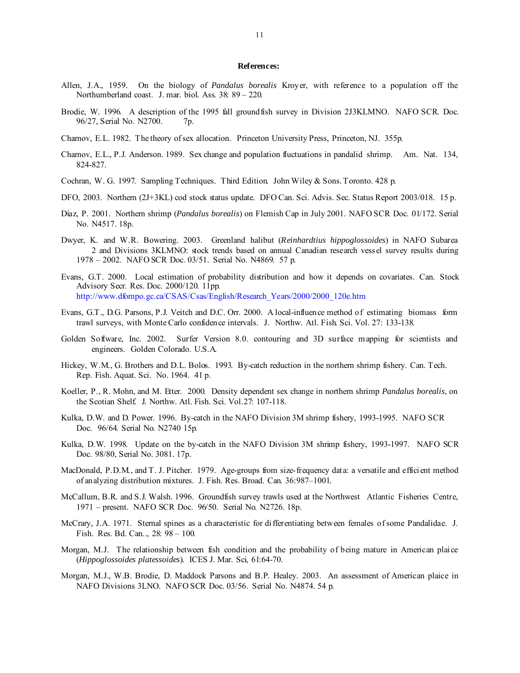#### **References:**

- Allen, J.A., 1959. On the biology of *Pandalus borealis* Kroyer, with reference to a population off the Northumberland coast. J. mar. biol. Ass. 38: 89 – 220.
- Brodie, W. 1996. A description of the 1995 fall groundfish survey in Division 2J3KLMNO. NAFO SCR. Doc. 96/27, Serial No. N2700. 7p.
- Charnov, E.L. 1982. The theory of sex allocation. Princeton University Press, Princeton, NJ. 355p.
- Charnov, E.L., P.J. Anderson. 1989. Sex change and population fluctuations in pandalid shrimp. Am. Nat. 134, 824-827.
- Cochran, W. G. 1997. Sampling Techniques. Third Edition. John Wiley & Sons. Toronto. 428 p.
- DFO, 2003. Northern (2J+3KL) cod stock status update. DFO Can. Sci. Advis. Sec. Status Report 2003/018. 15 p.
- Dίaz, P. 2001. Northern shrimp (*Pandalus borealis*) on Flemish Cap in July 2001. NAFO SCR Doc. 01/172. Serial No. N4517. 18p.
- Dwyer, K. and W.R. Bowering. 2003. Greenland halibut (*Reinhardtius hippoglossoides*) in NAFO Subarea 2 and Divisions 3KLMNO: stock trends based on annual Canadian research vessel survey results during 1978 – 2002. NAFO SCR Doc. 03/51. Serial No. N4869. 57 p.
- Evans, G.T. 2000. Local estimation of probability distribution and how it depends on covariates. Can. Stock Advisory Secr. Res. Doc. 2000/120. 11pp. http://www.dfompo.gc.ca/CSAS/Csas/English/Research\_Years/2000/2000\_120e.htm
- Evans, G.T., D.G. Parsons, P.J. Veitch and D.C. Orr. 2000. A local-influence method of estimating biomass form trawl surveys, with Monte Carlo confidence intervals. J. Northw. Atl. Fish. Sci. Vol. 27: 133-138.
- Golden Software, Inc. 2002. Surfer Version 8.0. contouring and 3D surface mapping for scientists and engineers. Golden Colorado. U.S.A.
- Hickey, W.M., G. Brothers and D.L. Bolos. 1993. By-catch reduction in the northern shrimp fishery. Can. Tech. Rep. Fish. Aquat. Sci. No. 1964. 41 p.
- Koeller, P., R. Mohn, and M. Etter. 2000. Density dependent sex change in northern shrimp *Pandalus borealis*, on the Scotian Shelf. J. Northw. Atl. Fish. Sci. Vol.27: 107-118.
- Kulka, D.W. and D. Power. 1996. By-catch in the NAFO Division 3M shrimp fishery, 1993-1995. NAFO SCR Doc. 96/64. Serial No. N2740 15p.
- Kulka, D.W. 1998. Update on the by-catch in the NAFO Division 3M shrimp fishery, 1993-1997. NAFO SCR Doc. 98/80, Serial No. 3081. 17p.
- MacDonald, P.D.M., and T. J. Pitcher. 1979. Age-groups from size-frequency data: a versatile and efficient method of analyzing distribution mixtures. J. Fish. Res. Broad. Can. 36:987–1001.
- McCallum, B.R. and S.J. Walsh. 1996. Groundfish survey trawls used at the Northwest Atlantic Fisheries Centre, 1971 – present. NAFO SCR Doc. 96/50. Serial No. N2726. 18p.
- McCrary, J.A. 1971. Sternal spines as a characteristic for differentiating between females of some Pandalidae. J. Fish. Res. Bd. Can.., 28: 98 – 100.
- Morgan, M.J. The relationship between fish condition and the probability of being mature in American plaice (*Hippoglossoides platessoides*). ICES J. Mar. Sci, 61:64-70.
- Morgan, M.J., W.B. Brodie, D. Maddock Parsons and B.P. Healey. 2003. An assessment of American plaice in NAFO Divisions 3LNO. NAFO SCR Doc. 03/56. Serial No. N4874. 54 p.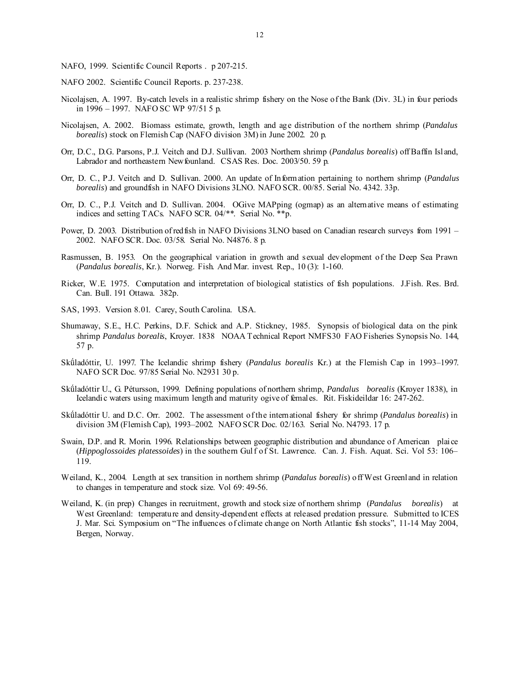- NAFO, 1999. Scientific Council Reports . p 207-215.
- NAFO 2002. Scientific Council Reports. p. 237-238.
- Nicolajsen, A. 1997. By-catch levels in a realistic shrimp fishery on the Nose of the Bank (Div. 3L) in four periods in 1996 – 1997. NAFO SC WP 97/51 5 p.
- Nicolajsen, A. 2002. Biomass estimate, growth, length and age distribution of the northern shrimp (*Pandalus borealis*) stock on Flemish Cap (NAFO division 3M) in June 2002. 20 p.
- Orr, D.C., D.G. Parsons, P.J. Veitch and D.J. Sullivan. 2003 Northern shrimp (*Pandalus borealis*) off Baffin Island, Labrador and northeastern Newfounland. CSAS Res. Doc. 2003/50. 59 p.
- Orr, D. C., P.J. Veitch and D. Sullivan. 2000. An update of Information pertaining to northern shrimp (*Pandalus borealis*) and groundfish in NAFO Divisions 3LNO. NAFO SCR. 00/85. Serial No. 4342. 33p.
- Orr, D. C., P.J. Veitch and D. Sullivan. 2004.OGive MAPping (ogmap) as an alternative means of estimating indices and setting TACs. NAFO SCR. 04/\*\*. Serial No. \*\*p.
- Power, D. 2003. Distribution of redfish in NAFO Divisions 3LNO based on Canadian research surveys from 1991 2002. NAFO SCR. Doc. 03/58. Serial No. N4876. 8 p.
- Rasmussen, B. 1953. On the geographical variation in growth and sexual development of the Deep Sea Prawn (*Pandalus borealis*, Kr.). Norweg. Fish. And Mar. invest. Rep., 10 (3): 1-160.
- Ricker, W.E. 1975. Computation and interpretation of biological statistics of fish populations. J.Fish. Res. Brd. Can. Bull. 191 Ottawa. 382p.
- SAS, 1993. Version 8.01. Carey, South Carolina. USA.
- Shumaway, S.E., H.C. Perkins, D.F. Schick and A.P. Stickney, 1985. Synopsis of biological data on the pink shrimp *Pandalus borealis*, Kroyer. 1838 NOAA Technical Report NMFS30 FAO Fisheries Synopsis No. 144, 57 p.
- Skǘladóttir, U. 1997. The Icelandic shrimp fishery (*Pandalus borealis* Kr.) at the Flemish Cap in 1993–1997. NAFO SCR Doc. 97/85 Serial No. N2931 30 p.
- Skǘladóttir U., G. Pétursson, 1999. Defining populations of northern shrimp, *Pandalus borealis* (Kroyer 1838), in Icelandic waters using maximum length and maturity ogive of females. Rit. Fiskideildar 16: 247-262.
- Skǘladóttir U. and D.C. Orr. 2002. The assessment of the international fishery for shrimp (*Pandalus borealis*) in division 3M (Flemish Cap), 1993–2002. NAFO SCR Doc. 02/163. Serial No. N4793. 17 p.
- Swain, D.P. and R. Morin. 1996. Relationships between geographic distribution and abundance of American plaice (*Hippoglossoides platessoides*) in the southern Gulf of St. Lawrence. Can. J. Fish. Aquat. Sci. Vol 53: 106– 119.
- Weiland, K., 2004. Length at sex transition in northern shrimp (*Pandalus borealis*) off West Greenland in relation to changes in temperature and stock size. Vol 69: 49-56.
- Weiland, K. (in prep) Changes in recruitment, growth and stock size of northern shrimp (*Pandalus borealis*) at West Greenland: temperature and density-dependent effects at released predation pressure. Submitted to ICES J. Mar. Sci. Symposium on "The influences of climate change on North Atlantic fish stocks", 11-14 May 2004, Bergen, Norway.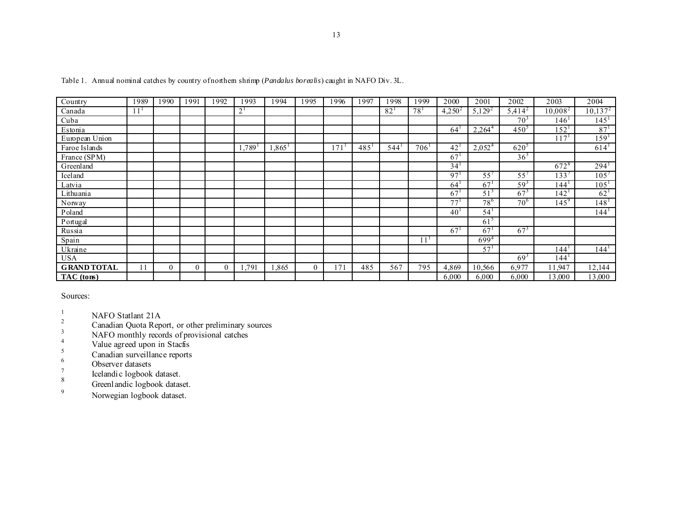| Country            | 1989 | 1990     | 1991     | 1992     | 1993                | 1994                 | 1995         | 1996 | 1997               | 1998 | 1999     | 2000            | 2001            | 2002            | 2003             | 2004             |
|--------------------|------|----------|----------|----------|---------------------|----------------------|--------------|------|--------------------|------|----------|-----------------|-----------------|-----------------|------------------|------------------|
| Canada             |      |          |          |          | $2^{\frac{1}{2}}$   |                      |              |      |                    | 82   | $78^{1}$ | $4,250^2$       | $5,129^2$       | $5,414^{2}$     | $10,008^2$       | $10,137^2$       |
| Cuba               |      |          |          |          |                     |                      |              |      |                    |      |          |                 |                 | 70 <sup>3</sup> | 146'             | 145 <sup>1</sup> |
| Estonia            |      |          |          |          |                     |                      |              |      |                    |      |          | 64              | $2,264^{4}$     | $450^{\circ}$   | 152              | $87^{1}$         |
| European Union     |      |          |          |          |                     |                      |              |      |                    |      |          |                 |                 |                 | 117'             | 159 <sup>1</sup> |
| Faroe Islands      |      |          |          |          | $.789$ <sup>1</sup> | $1,865$ <sup>1</sup> |              | 171  | $485^{\mathrm{T}}$ | 544' | 706'     | 42              | $2,052^4$       | $620^\circ$     |                  | 614'             |
| France (SPM)       |      |          |          |          |                     |                      |              |      |                    |      |          | 67 <sup>1</sup> |                 | $36^{3}$        |                  |                  |
| Greenland          |      |          |          |          |                     |                      |              |      |                    |      |          | 34 <sup>1</sup> |                 |                 | 672 <sup>8</sup> | $294^1$          |
| Iceland            |      |          |          |          |                     |                      |              |      |                    |      |          | 97 <sup>1</sup> | $55^{\circ}$    | $55^{\circ}$    | 133'             | $105^{7}$        |
| Latvia             |      |          |          |          |                     |                      |              |      |                    |      |          | 64 <sup>1</sup> | 67 <sup>1</sup> | $59^{3}$        | 144'             | 105 <sup>1</sup> |
| Lithuania          |      |          |          |          |                     |                      |              |      |                    |      |          | 67              | 51 <sup>3</sup> | 67 <sup>3</sup> | 142 <sup>1</sup> | $62^{1}$         |
| Norway             |      |          |          |          |                     |                      |              |      |                    |      |          | 77 <sup>1</sup> | 78 <sup>6</sup> | 70 <sup>6</sup> | $145^{9}$        | 148 <sup>1</sup> |
| Poland             |      |          |          |          |                     |                      |              |      |                    |      |          | 40 <sup>1</sup> | 54 <sup>1</sup> |                 |                  | 144 <sup>1</sup> |
| Portugal           |      |          |          |          |                     |                      |              |      |                    |      |          |                 | 61 <sup>5</sup> |                 |                  |                  |
| Russia             |      |          |          |          |                     |                      |              |      |                    |      |          | 67              | 67              | $67^{3}$        |                  |                  |
| Spain              |      |          |          |          |                     |                      |              |      |                    |      |          |                 | $699^{4}$       |                 |                  |                  |
| Ukraine            |      |          |          |          |                     |                      |              |      |                    |      |          |                 | 57 <sup>1</sup> |                 | 144'             | 144 <sup>1</sup> |
| <b>USA</b>         |      |          |          |          |                     |                      |              |      |                    |      |          |                 |                 | $69^{3}$        | 144'             |                  |
| <b>GRAND TOTAL</b> | 11   | $\theta$ | $\Omega$ | $\theta$ | 1,791               | .865                 | $\mathbf{0}$ | 171  | 485                | 567  | 795      | 4,869           | 10,566          | 6.977           | 11,947           | 12,144           |
| TAC (tons)         |      |          |          |          |                     |                      |              |      |                    |      |          | 6,000           | 6,000           | 6,000           | 13,000           | 13,000           |

Table 1. Annual nominal catches by country of northern shrimp (*Pandalus borealis*) caught in NAFO Div. 3L.

Sources:

- $\frac{1}{2}$  NAFO Statlant 21A
- <sup>2</sup> Canadian Quota Report, or other preliminary sources
- <sup>3</sup><br>
<sup>3</sup><br>
NAFO monthly records of provisional catches<br>
<sup>4</sup><br>
<sup>2</sup><br> *S* caudise expect upon in Stacfis
- 
- $rac{5}{6}$  Canadian surveillance reports<br> $rac{6}{7}$  Observer datasets
- Observer datasets
- $\frac{7}{8}$  Icelandic logbook dataset.
- $\frac{8}{9}$  Greenlandic logbook dataset.
- Norwegian logbook dataset.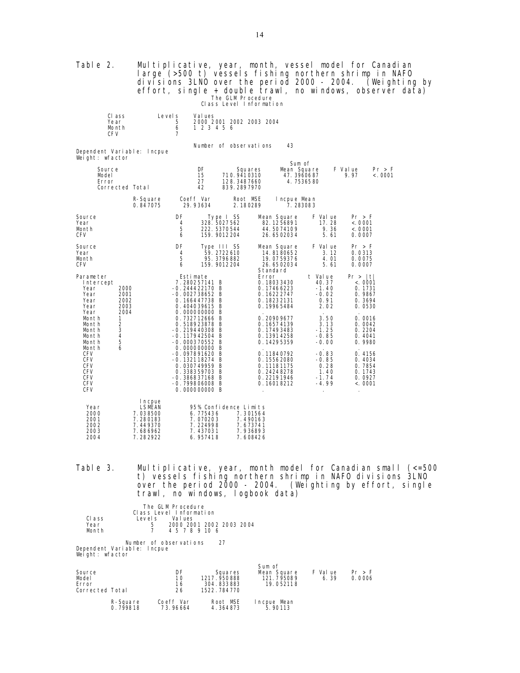| Table 2.                                                                                       |                                                    | Multiplicative, year, month, vessel model for Canadian<br>large (>500 t) vessels fishing northern shrimp in NAFO<br>divisions 3LNO over the period 2000 - 2004. (Weighting by<br>effort, single + double trawl, no windows, observer data) |                                                                                                                                 |                                                             | The GLM Procedure<br>Class Level Information                                      |                                                                                         |                                      |                                                                |                       |         |                                                           |                  |  |
|------------------------------------------------------------------------------------------------|----------------------------------------------------|--------------------------------------------------------------------------------------------------------------------------------------------------------------------------------------------------------------------------------------------|---------------------------------------------------------------------------------------------------------------------------------|-------------------------------------------------------------|-----------------------------------------------------------------------------------|-----------------------------------------------------------------------------------------|--------------------------------------|----------------------------------------------------------------|-----------------------|---------|-----------------------------------------------------------|------------------|--|
|                                                                                                | CI ass<br>Year<br>Month<br>CF V                    | Level s                                                                                                                                                                                                                                    | 5<br>6<br>7                                                                                                                     | Val ues<br>1 2 3 4 5 6                                      | 2000 2001 2002 2003 2004                                                          |                                                                                         |                                      |                                                                |                       |         |                                                           |                  |  |
|                                                                                                | Weight: wfactor                                    | Dependent Variable: Incpue                                                                                                                                                                                                                 |                                                                                                                                 |                                                             | Number of observations                                                            |                                                                                         | 43                                   |                                                                |                       |         |                                                           |                  |  |
|                                                                                                | <b>Source</b><br>Model<br>Error<br>Corrected Total |                                                                                                                                                                                                                                            |                                                                                                                                 | DF<br>15<br>27<br>42                                        | Squares<br>710.9410310<br>128.3487660<br>839.2897970                              |                                                                                         | Sum of<br>Mean Square<br>47. 3960687 | 4.7536580                                                      | F Value               | 9.97    |                                                           | Pr > F<br>< 0001 |  |
|                                                                                                |                                                    | R-Square<br>0.847075                                                                                                                                                                                                                       | Coeff Var<br>29.93634                                                                                                           |                                                             | Root MSE<br>2.180289                                                              |                                                                                         | I ncpue Mean<br>7.283083             |                                                                |                       |         |                                                           |                  |  |
| Source<br>Year<br>Month<br><b>CFV</b>                                                          |                                                    |                                                                                                                                                                                                                                            | DF<br>4<br>5<br>6                                                                                                               | Type I SS<br>328. 5027 562<br>222. 5370544<br>159. 9012 204 |                                                                                   | Mean Square<br>82.1256891<br>44.5074109<br>26.6502034                                   |                                      | F Val ue                                                       | 17.28<br>9.36<br>5.61 |         | Pr > F<br>< 0.001<br>< 0001<br>0.0007                     |                  |  |
| Source<br>Year<br>Month<br><b>CFV</b>                                                          |                                                    |                                                                                                                                                                                                                                            | DF<br>4<br>5<br>6                                                                                                               | Type III SS<br>59.2722610<br>95. 3796882<br>159. 9012 204   |                                                                                   | Mean Square<br>14.8180652<br>19.0759376<br>26.6502034                                   |                                      | F Val ue                                                       | 3.12<br>4.01<br>5.61  |         | Pr > F<br>0.0313<br>0.0075<br>0.0007                      |                  |  |
| Parameter<br>Intercept<br>Year<br>Year<br>Year<br>Year                                         | 2000<br>2001<br>2002<br>2003                       |                                                                                                                                                                                                                                            | Estimate<br>7.280257141 B<br>$-0.244422170$ B<br>$-0.002738652 B$<br>0.166447738 B<br>0.404039615 B                             |                                                             |                                                                                   | Standard<br>Error<br>0.18033430<br>0.17466223<br>0.16222747<br>0.18232131<br>0.19965484 |                                      | t Value<br>40.37<br>$-1.40$<br>$-0.02$<br>0.91<br>2.02         |                       | Pr >  t | <.0001<br>0.1731<br>0.9867<br>0. 3694<br>0.0530           |                  |  |
| Year<br>Mont h<br>Month<br>Month<br>Mont h<br>Month<br>Month                                   | 2004<br>$\mathbf{1}$<br>2<br>3<br>4<br>5<br>6      |                                                                                                                                                                                                                                            | 0.000000000 B<br>0.732712666 B<br>0.518923878 B<br>$-0.219440308$ B<br>$-0.117942504$ B<br>$-0.000370552 B$<br>0.000000000 B    |                                                             |                                                                                   | 0.20909677<br>0.16574139<br>0.17493483<br>0.13914258<br>0.14295359                      |                                      | 3.50<br>3.13<br>$-1.25$<br>$-0.85$<br>$-0.00$                  |                       |         | 0.0016<br>0.0042<br>0.2204<br>0.4041<br>0.9980            |                  |  |
| <b>CFV</b><br><b>CFV</b><br><b>CFV</b><br><b>CFV</b><br><b>CFV</b><br><b>CFV</b><br><b>CFV</b> |                                                    |                                                                                                                                                                                                                                            | $-0.097891620 B$<br>-0.132118274 B<br>0.030749959 B<br>0.338359703 B<br>$-0.386837168$ B<br>$-0.799806008$ B<br>$0.000000000$ B |                                                             |                                                                                   | 0.11840792<br>0.15562080<br>0.11181175<br>0.24248278<br>0.22191946<br>0.16018212        |                                      | $-0.83$<br>$-0.85$<br>0.28<br>1.40<br>$-1.74$<br>$-4.99$<br>÷. |                       |         | 0.4156<br>0.4034<br>0.7854<br>0.1743<br>0.0927<br>< .0001 |                  |  |
| Year<br>2000<br>2001<br>2002<br>2003<br>2004                                                   |                                                    | I n cpue<br><b>LSMEAN</b><br>7.038500<br>7.280183<br>7.449370<br>7.686962<br>7.282922                                                                                                                                                      |                                                                                                                                 | 6.775436<br>7.070203<br>7.224998<br>7.437031<br>6.957418    | 95% Confidence Limits<br>7.301564<br>7.490163<br>7.673741<br>7.936893<br>7.608426 |                                                                                         |                                      |                                                                |                       |         |                                                           |                  |  |

Table 3. Multiplicative, year, month model for Canadian small (<=500 t) vessels fishing northern shrimp in NAFO divisions 3LNO over the period 2000 - 2004. (Weighting by effort, single trawl, no windows, logbook data)

|                         |              | The GLM Procedure<br>Class Level Information         |  |  |
|-------------------------|--------------|------------------------------------------------------|--|--|
| Class<br>Year<br>Mon th | Level s<br>5 | Values<br>2000 2001 2002 2003 2004<br>4 5 7 8 9 10 6 |  |  |

Number of observations 27 Dependent Variable: lncpue Weight: wfactor

| Source<br>Model<br>Error<br>Corrected Total |                      | DF<br>10<br>16<br>26  | Squares<br>1217.950888<br>304.833883<br>1522.784770 | Sum of<br>Mean Square<br>121.795089<br>19.052118 | F Val ue<br>6.39 | Pr > F<br>0.0006 |
|---------------------------------------------|----------------------|-----------------------|-----------------------------------------------------|--------------------------------------------------|------------------|------------------|
|                                             | R-Square<br>0.799818 | Coeff Var<br>73.96664 | Root MSE<br>4.364873                                | Incpue Mean<br>5.90113                           |                  |                  |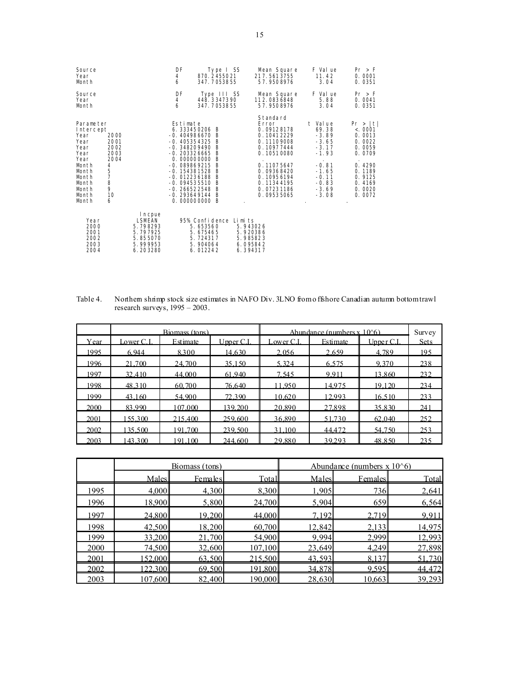| Source<br>Year<br>Month                                                                                                       |                                                                          |                                                                                       | DF<br>4<br>6                                                                                    | Type I SS<br>870.2455021<br>347.7053855                                                                                                                                              | Mean Square<br>217.5613755<br>57.9508976                                                                                                                                    | F Val ue<br>11.42<br>3.04                                                                                                      | Pr > F<br>0.0001<br>0.0351                                                                                              |
|-------------------------------------------------------------------------------------------------------------------------------|--------------------------------------------------------------------------|---------------------------------------------------------------------------------------|-------------------------------------------------------------------------------------------------|--------------------------------------------------------------------------------------------------------------------------------------------------------------------------------------|-----------------------------------------------------------------------------------------------------------------------------------------------------------------------------|--------------------------------------------------------------------------------------------------------------------------------|-------------------------------------------------------------------------------------------------------------------------|
| Source<br>Year<br>Month                                                                                                       |                                                                          |                                                                                       | DF<br>4<br>6                                                                                    | Type III SS<br>448.3347390<br>347.7053855                                                                                                                                            | Mean Square<br>112.0836848<br>57.9508976                                                                                                                                    | F Val ue<br>5.88<br>3.04                                                                                                       | Pr > F<br>0.0041<br>0.0351                                                                                              |
| Parameter<br>Intercept<br>Year<br>Year<br>Year<br>Year<br>Year<br>Month<br>Month<br>Month<br>Month<br>Month<br>Month<br>Month | 2000<br>2001<br>2002<br>2003<br>2004<br>4<br>5<br>7<br>8<br>9<br>10<br>6 |                                                                                       | Estimate<br>$-0.405354325$<br>$-0.348209490$<br>0.000000000<br>$-0.089869215$<br>$-0.012236188$ | 6.333450206 B<br>$-0.404986670 B$<br>B<br>- B<br>$-0.203326665$ B<br>B<br>B<br>$-0.154381528$ B<br>- B<br>$-0.094535510 B$<br>$-0.266522548$ B<br>$-0.293649144B$<br>$0.000000000$ B | Standard<br>Error<br>0.09128178<br>0.10412229<br>0.11109008<br>0.10977444<br>0.10510080<br>0.11075647<br>0.09368420<br>0.10956194<br>0.11344195<br>0.07231186<br>0.09535065 | t Value<br>69.38<br>$-3.89$<br>$-3.65$<br>$-3.17$<br>$-1.93$<br>$-0.81$<br>$-1.65$<br>$-0.11$<br>$-0.83$<br>$-3.69$<br>$-3.08$ | Pr >  t <br>< .0001<br>0.0013<br>0.0022<br>0.0059<br>0.0709<br>0.4290<br>0.1189<br>0.9125<br>0.4169<br>0.0020<br>0.0072 |
| Year<br>2000<br>2001<br>2002<br>2003<br>2004                                                                                  |                                                                          | I n cpue<br><b>LSMEAN</b><br>5.798293<br>5.797925<br>5.855070<br>5.999953<br>6.203280 |                                                                                                 | 95% Confidence Limits<br>5.653560<br>5.675465<br>5.724317<br>5. 904064<br>6.012242                                                                                                   | 5.943026<br>5.920386<br>5.985823<br>6.095842<br>6.394317                                                                                                                    |                                                                                                                                |                                                                                                                         |

| Table 4. | Northern shrimp stock size estimates in NAFO Div. 3LNO from offshore Canadian autumn bottom trawl |
|----------|---------------------------------------------------------------------------------------------------|
|          | research surveys, $1995 - 2003$ .                                                                 |

|      |           | Biomass (tons) |                | Abundance (numbers $x 106$ ) | Survey   |           |             |
|------|-----------|----------------|----------------|------------------------------|----------|-----------|-------------|
| Year | Lower C.I | Estimate       | $U$ pper $C.I$ | Lower C.I                    | Estimate | Upper C.I | <b>Sets</b> |
| 1995 | 6.944     | 8.300          | 14.630         | 2.056                        | 2.659    | 4.789     | 195         |
| 1996 | 21.700    | 24.700         | 35.150         | 5.324                        | 6.575    | 9.370     | 238         |
| 1997 | 32.410    | 44,000         | 61.940         | 7.545                        | 9.911    | 13.860    | 232         |
| 1998 | 48.310    | 60.700         | 76.640         | 11.950                       | 14.975   | 19.120    | 234         |
| 1999 | 43.160    | 54.900         | 72.390         | 10.620                       | 12.993   | 16.510    | 233         |
| 2000 | 83.990    | 107.000        | 139.200        | 20.890                       | 27.898   | 35.830    | 241         |
| 2001 | 155.300   | 215.400        | 259.600        | 36.890                       | 51.730   | 62.040    | 252         |
| 2002 | 135.500   | 191.700        | 239,500        | 31.100                       | 44.472   | 54.750    | 253         |
| 2003 | 143.300   | 191.100        | 244,600        | 29.880                       | 39.293   | 48.850    | 235         |

|      |              | Biomass (tons) |         | Abundance (numbers $\bar{x}$ 10 $\hat{6}$ ) |            |        |  |
|------|--------------|----------------|---------|---------------------------------------------|------------|--------|--|
|      | <b>Males</b> | Females        | Total   | Males                                       | Females    | Total  |  |
| 1995 | 4,000        | 4,300          | 8,300   | 1,905                                       | <b>736</b> | 2,641  |  |
| 1996 | 18,900       | 5,800          | 24,700  | 5,904                                       | 659        | 6,564  |  |
| 1997 | 24.800       | 19.200         | 44.000  | 7.192                                       | 2.719      | 9.911  |  |
| 1998 | 42,500       | 18,200         | 60,700  | 12,842                                      | 2,133      | 14,975 |  |
| 1999 | 33,200       | 21,700         | 54,900  | 9,994                                       | 2,999      | 12,993 |  |
| 2000 | 74,500       | 32,600         | 107,100 | 23,649                                      | 4,249      | 27,898 |  |
| 2001 | 52.000       | 63.500         | 215.500 | 43.593                                      | 8 1 3 7    | 51.730 |  |
| 2002 | 22.300       | 69.500         | 191.800 | 34.878                                      | 9.595      | 44.472 |  |
| 2003 | 107,600      | 82,400         | 190,000 | 28,630                                      | 10,663     | 39,293 |  |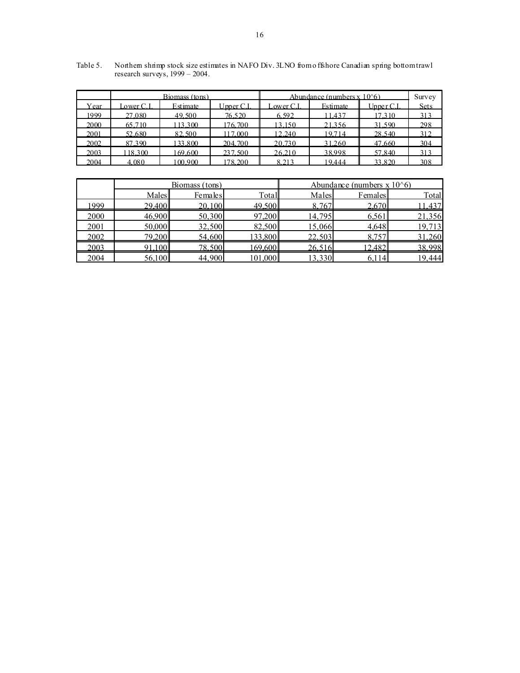|      |            | Biomass (tons) |            |            | Abundance (numbers $x 106$ ) |             | Survey      |
|------|------------|----------------|------------|------------|------------------------------|-------------|-------------|
| Year | Lower C.I. | Estimate       | Upper C.I. | Lower C.I. | Estimate                     | Upper $C.I$ | <b>Sets</b> |
| 1999 | 27.080     | 49.500         | 76.520     | 6.592      | 11.437                       | 17.310      | 313         |
| 2000 | 65.710     | 13.300         | 176.700    | 13.150     | 21.356                       | 31.590      | 298         |
| 2001 | 52.680     | 82.500         | 17.000     | 12.240     | 19.714                       | 28.540      | 312         |
| 2002 | 87.390     | 133.800        | 204.700    | 20.730     | 31.260                       | 47.660      | 304         |
| 2003 | 118.300    | 169.600        | 237.500    | 26.210     | 38.998                       | 57.840      | 313         |
| 2004 | 4.080      | 100.900        | 178.200    | 8 213      | 19.444                       | 33.820      | 308         |

Table 5. Northern shrimp stock size estimates in NAFO Div. 3LNO from o ffshore Canadian spring bottom trawl research surveys, 1999 – 2004.

|      |        | Biomass (tons) |         | Abundance (numbers $x 10^6$ ) |         |        |  |  |
|------|--------|----------------|---------|-------------------------------|---------|--------|--|--|
|      | Males  | Females        | Total   | Males                         | Females | Total  |  |  |
| 1999 | 29,400 | 20,100         | 49.500  | 8.767                         | 2.670   | 1.437  |  |  |
| 2000 | 46,900 | 50,300         | 97,200  | 14,795                        | 6,561   | 21,356 |  |  |
| 2001 | 50,000 | 32,500         | 82,500  | 15,066                        | 4,648   | 19,713 |  |  |
| 2002 | 79,200 | 54,600         | 133,800 | 22,503                        | 8,757   | 31,260 |  |  |
| 2003 | 100    | 78.500         | 69.600  | 26.51t                        | 12.482  | 38.998 |  |  |
| 2004 | 56,100 | 44,900         | 101,000 | 13,330                        | 6,114   | 19,444 |  |  |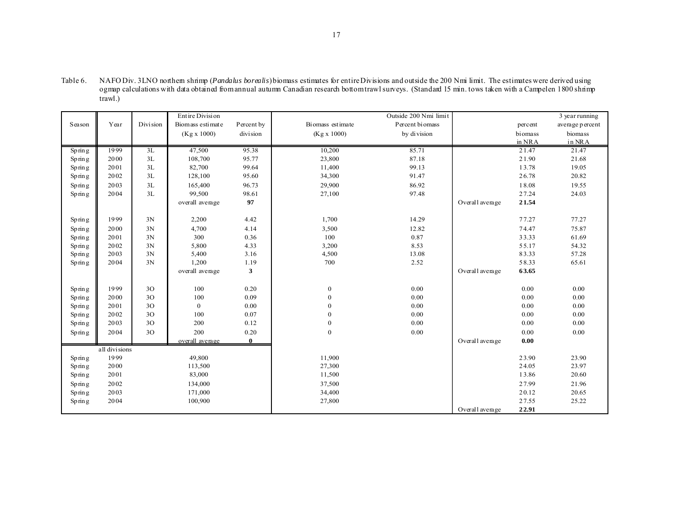| Table 6. | NAFO Div. 3LNO nothem shimp ( <i>Pandalus borealis</i> ) biomass estimates for entire Divisions and outside the 200 Nmi limit. The estimates were derived using |
|----------|-----------------------------------------------------------------------------------------------------------------------------------------------------------------|
|          | ogmap calculations with data obtained from annual autumn Canadian research bottom trawl surveys. (Standard 15 min, tows taken with a Campelen 1800 shrimp       |
|          | trawl.)                                                                                                                                                         |
|          |                                                                                                                                                                 |

|                   |               |            | Entire Division  | Outside 200 Nmi limit |                  |                 | 3 year running  |         |                 |
|-------------------|---------------|------------|------------------|-----------------------|------------------|-----------------|-----------------|---------|-----------------|
| Season            | Year          | Division   | Biomass estimate | Percent by            | Biomass estimate | Percent biomass |                 | percent | average percent |
|                   |               |            | (Kg x 1000)      | division              | (Kg x 1000)      | by division     |                 | biomass | biomass         |
|                   |               |            |                  |                       |                  |                 |                 | in NRA  | in NRA          |
| Spring            | 1999          | 3L         | 47,500           | 95.38                 | 10,200           | 85.71           |                 | 21.47   | 21.47           |
| Spring            | 2000          | 3L         | 108,700          | 95.77                 | 23,800           | 87.18           |                 | 21.90   | 21.68           |
| Spring            | 2001          | 3L         | 82,700           | 99.64                 | 11,400           | 99.13           |                 | 13.78   | 19.05           |
| Spring            | 2002          | 3L         | 128,100          | 95.60                 | 34,300           | 91.47           |                 | 26.78   | 20.82           |
| Spin <sub>g</sub> | 2003          | 3L         | 165,400          | 96.73                 | 29,900           | 86.92           |                 | 18.08   | 19.55           |
| Spring            | 2004          | $3{\rm L}$ | 99,500           | 98.61                 | 27,100           | 97.48           |                 | 27.24   | 24.03           |
|                   |               |            | overall average  | 97                    |                  |                 | Overall average | 21.54   |                 |
|                   |               |            |                  |                       |                  |                 |                 |         |                 |
| Spin <sub>g</sub> | 1999          | 3N         | 2,200            | 4.42                  | 1,700            | 14.29           |                 | 77.27   | 77.27           |
| Spring            | 2000          | 3N         | 4,700            | 4.14                  | 3,500            | 12.82           |                 | 74.47   | 75.87           |
| Spring            | 2001          | 3N         | 300              | 0.36                  | 100              | 0.87            |                 | 33.33   | 61.69           |
| Spring            | 2002          | 3N         | 5,800            | 4.33                  | 3,200            | 8.53            |                 | 55.17   | 54.32           |
| Spin <sub>g</sub> | 2003          | 3N         | 5,400            | 3.16                  | 4,500            | 13.08           |                 | 83.33   | 57.28           |
| Spring            | 2004          | 3N         | 1,200            | 1.19                  | 700              | 2.52            |                 | 58.33   | 65.61           |
|                   |               |            | overall average  | 3                     |                  |                 | Overall average | 63.65   |                 |
|                   |               |            |                  |                       |                  |                 |                 |         |                 |
| Spring            | 1999          | 3O         | 100              | 0.20                  | $\boldsymbol{0}$ | 0.00            |                 | 0.00    | 0.00            |
| Spring            | 2000          | 3O         | 100              | 0.09                  | $\boldsymbol{0}$ | 0.00            |                 | 0.00    | 0.00            |
| Spring            | 2001          | 3O         | $\bf{0}$         | 0.00                  | $\boldsymbol{0}$ | 0.00            |                 | 0.00    | 0.00            |
| Spin <sub>g</sub> | 2002          | 30         | 100              | 0.07                  | $\mathbf{0}$     | 0.00            |                 | 0.00    | 0.00            |
| Spin <sub>g</sub> | 2003          | 3O         | 200              | 0.12                  | $\mathbf{0}$     | 0.00            |                 | 0.00    | 0.00            |
| Spring            | 2004          | 3O         | 200              | 0.20                  | $\boldsymbol{0}$ | 0.00            |                 | 0.00    | 0.00            |
|                   |               |            | overall average  | $\bf{0}$              |                  |                 | Overall average | 0.00    |                 |
|                   | all divisions |            |                  |                       |                  |                 |                 |         |                 |
| Spring            | 1999          |            | 49,800           |                       | 11,900           |                 |                 | 23.90   | 23.90           |
| Spring            | 2000          |            | 113,500          |                       | 27,300           |                 |                 | 24.05   | 23.97           |
| Spring            | 2001          |            | 83,000           |                       | 11,500           |                 |                 | 13.86   | 20.60           |
| Spin <sub>g</sub> | 2002          |            | 134,000          |                       | 37,500           |                 |                 | 27.99   | 21.96           |
| Spring            | 2003          |            | 171,000          |                       | 34,400           |                 |                 | 20.12   | 20.65           |
| Spring            | 2004          |            | 100,900          |                       | 27,800           |                 |                 | 27.55   | 25.22           |
|                   |               |            |                  |                       |                  |                 | Overall average | 22.91   |                 |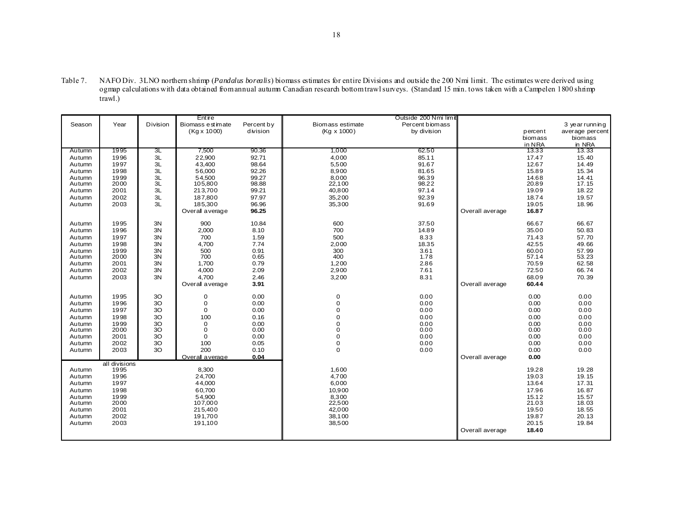Table 7. NAFO Div. 3LNO northern shrimp (*Pandalus borealis*) biomass estimates for entire Divisions and outside the 200 Nmi limit. The estimates were derived using ogmap calculations with data obtained from annual autumn Canadian research bottom trawl surveys. (Standard 15 min. tows taken with a Campelen 1800 shrimp trawl.)

|        |               | Outside 200 Nmi limit<br>Entire |                    |            |                  |                 |                 |         |                 |
|--------|---------------|---------------------------------|--------------------|------------|------------------|-----------------|-----------------|---------|-----------------|
| Season | Year          | Division                        | Biomass estimate   | Percent by | Biomass estimate | Percent biomass |                 |         | 3 year running  |
|        |               |                                 | $(Kg \times 1000)$ | division   | (Kg x 1000)      | by division     |                 | percent | average percent |
|        |               |                                 |                    |            |                  |                 |                 | biomass | biomass         |
|        |               |                                 |                    |            |                  |                 |                 | in NRA  | in NRA          |
| Autumn | 1995          | ЗL                              | 7,500              | 90.36      | 1,000            | 62.50           |                 | 13.33   | 13.33           |
| Autumn | 1996          | 3L                              | 22,900             | 92.71      | 4,000            | 85.11           |                 | 17.47   | 15.40           |
| Autumn | 1997          | 3L                              | 43,400             | 98.64      | 5,500            | 91.67           |                 | 12.67   | 14.49           |
| Autumn | 1998          | 3L                              | 56,000             | 92.26      | 8,900            | 81.65           |                 | 15.89   | 15.34           |
| Autumn | 1999          | 3L                              | 54.500             | 99.27      | 8,000            | 96.39           |                 | 14.68   | 14.41           |
| Autumn | 2000          | 3L                              | 105,800            | 98.88      | 22,100           | 98.22           |                 | 20.89   | 17.15           |
| Autumn | 2001          | 3L                              | 213,700            | 99.21      | 40,800           | 97.14           |                 | 19.09   | 18.22           |
| Autumn | 2002          | 3L                              | 187,800            | 97.97      | 35,200           | 92.39           |                 | 18.74   | 19.57           |
| Autumn | 2003          | 3L                              | 185,300            | 96.96      | 35,300           | 91.69           |                 | 19.05   | 18.96           |
|        |               |                                 | Overall average    | 96.25      |                  |                 | Overall average | 16.87   |                 |
|        |               |                                 |                    |            |                  |                 |                 |         |                 |
| Autumn | 1995          | 3N                              | 900                | 10.84      | 600              | 37.50           |                 | 66.67   | 66.67           |
| Autumn | 1996          | 3N                              | 2,000              | 8.10       | 700              | 14.89           |                 | 35.00   | 50.83           |
| Autumn | 1997          | 3N                              | 700                | 1.59       | 500              | 8.33            |                 | 71.43   | 57.70           |
| Autumn | 1998          | 3N                              | 4,700              | 7.74       | 2,000            | 18.35           |                 | 42.55   | 49.66           |
| Autumn | 1999          | 3N                              | 500                | 0.91       | 300              | 3.61            |                 | 60.00   | 57.99<br>53.23  |
| Autumn | 2000          | 3N                              | 700                | 0.65       | 400              | 1.78            |                 | 57.14   |                 |
| Autumn | 2001          | 3N                              | 1,700              | 0.79       | 1,200            | 2.86            |                 | 70.59   | 62.58           |
| Autumn | 2002          | 3N                              | 4,000              | 2.09       | 2,900            | 7.61            |                 | 72.50   | 66.74           |
| Autumn | 2003          | 3N                              | 4,700              | 2.46       | 3,200            | 8.31            |                 | 68.09   | 70.39           |
|        |               |                                 | Overall average    | 3.91       |                  |                 | Overall average | 60.44   |                 |
|        |               |                                 |                    |            |                  |                 |                 |         |                 |
| Autumn | 1995          | 3O                              | 0                  | 0.00       | 0                | 0.00            |                 | 0.00    | 0.00            |
| Autumn | 1996          | 3O                              | $\mathbf 0$        | 0.00       | 0                | 0.00            |                 | 0.00    | 0.00            |
| Autumn | 1997          | 3O                              | $\mathbf 0$        | 0.00       | 0                | 0.00            |                 | 0.00    | 0.00            |
| Autumn | 1998          | 3O                              | 100                | 0.16       | 0                | 0.00            |                 | 0.00    | 0.00            |
| Autumn | 1999          | 3O                              | 0                  | 0.00       | 0                | 0.00            |                 | 0.00    | 0.00            |
| Autumn | 2000          | 3O                              | 0                  | 0.00       | 0                | 0.00            |                 | 0.00    | 0.00            |
| Autumn | 2001          | 3O                              | $\mathbf 0$        | 0.00       | 0                | 0.00            |                 | 0.00    | 0.00            |
| Autumn | 2002          | 3O                              | 100                | 0.05       | 0                | 0.00            |                 | 0.00    | 0.00            |
| Autumn | 2003          | 3O                              | 200                | 0.10       | $\overline{0}$   | 0.00            |                 | 0.00    | 0.00            |
|        |               |                                 | Overall average    | 0.04       |                  |                 | Overall average | 0.00    |                 |
|        | all divisions |                                 |                    |            |                  |                 |                 |         |                 |
| Autumn | 1995          |                                 | 8,300              |            | 1,600            |                 |                 | 19.28   | 19.28           |
| Autumn | 1996          |                                 | 24,700             |            | 4,700            |                 |                 | 19.03   | 19.15           |
| Autumn | 1997          |                                 | 44,000             |            | 6,000            |                 |                 | 13.64   | 17.31           |
| Autumn | 1998          |                                 | 60,700             |            | 10,900           |                 |                 | 17.96   | 16.87           |
| Autumn | 1999          |                                 | 54,900             |            | 8,300            |                 |                 | 15.12   | 15.57           |
| Autumn | 2000          |                                 | 107,000            |            | 22,500           |                 |                 | 21.03   | 18.03           |
| Autumn | 2001          |                                 | 215,400            |            | 42,000           |                 |                 | 19.50   | 18.55           |
| Autumn | 2002          |                                 | 191,700            |            | 38,100           |                 |                 | 19.87   | 20.13           |
| Autumn | 2003          |                                 | 191,100            |            | 38,500           |                 |                 | 20.15   | 19.84           |
|        |               |                                 |                    |            |                  |                 | Overall average | 18.40   |                 |
|        |               |                                 |                    |            |                  |                 |                 |         |                 |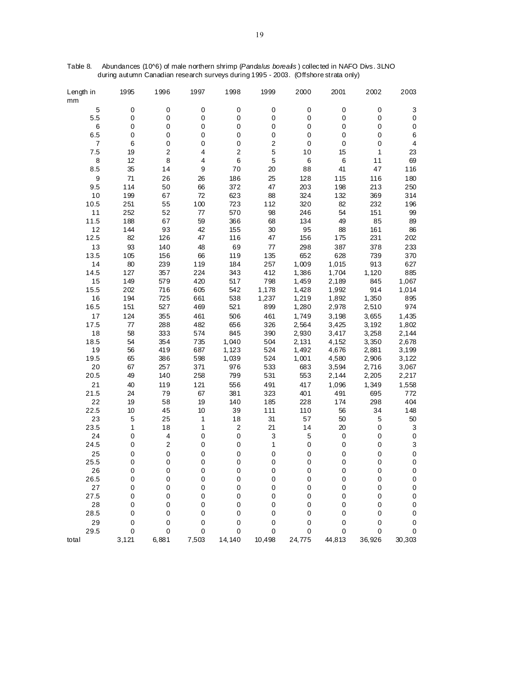| Length in<br>mm | 1995      | 1996                    | 1997        | 1998                    | 1999           | 2000             | 2001      | 2002   | 2003                    |
|-----------------|-----------|-------------------------|-------------|-------------------------|----------------|------------------|-----------|--------|-------------------------|
| 5               | $\pmb{0}$ | $\pmb{0}$               | 0           | $\pmb{0}$               | $\pmb{0}$      | $\pmb{0}$        | $\pmb{0}$ | 0      | 3                       |
| 5.5             | $\pmb{0}$ | $\pmb{0}$               | 0           | 0                       | $\mathbf 0$    | $\boldsymbol{0}$ | 0         | 0      | $\boldsymbol{0}$        |
| 6               | $\pmb{0}$ | $\pmb{0}$               | $\mathsf 0$ | 0                       | $\pmb{0}$      | $\boldsymbol{0}$ | 0         | 0      | $\pmb{0}$               |
| 6.5             | $\pmb{0}$ | $\mathbf 0$             | 0           | 0                       | $\pmb{0}$      | $\boldsymbol{0}$ | 0         | 0      | 6                       |
| 7               | 6         | 0                       | 0           | 0                       | $\overline{c}$ | $\boldsymbol{0}$ | $\pmb{0}$ | 0      | $\overline{\mathbf{4}}$ |
| 7.5             | 19        | 2                       | 4           | $\overline{\mathbf{c}}$ | 5              | 10               | 15        | 1      | 23                      |
| 8               | 12        | 8                       | 4           | 6                       | 5              | 6                | $\,6$     | 11     | 69                      |
| 8.5             | 35        | 14                      | 9           | 70                      | 20             | 88               | 41        | 47     | 116                     |
| 9               | 71        | 26                      | 26          | 186                     | 25             | 128              | 115       | 116    | 180                     |
| 9.5             | 114       | 50                      | 66          | 372                     | 47             | 203              | 198       | 213    | 250                     |
| 10              | 199       | 67                      | 72          | 623                     | 88             | 324              | 132       | 369    | 314                     |
| 10.5            | 251       | 55                      | 100         | 723                     | 112            | 320              | 82        | 232    | 196                     |
| 11              | 252       | 52                      | 77          | 570                     | 98             | 246              | 54        | 151    | 99                      |
| 11.5            | 188       | 67                      | 59          | 366                     | 68             | 134              | 49        | 85     | 89                      |
| 12              | 144       | 93                      | 42          | 155                     | 30             | 95               | 88        | 161    | 86                      |
| 12.5            | 82        | 126                     | 47          | 116                     | 47             | 156              | 175       | 231    | 202                     |
| 13              | 93        | 140                     | 48          | 69                      | 77             | 298              | 387       | 378    | 233                     |
| 13.5            | 105       | 156                     | 66          | 119                     | 135            | 652              | 628       | 739    | 370                     |
| 14              | 80        | 239                     | 119         | 184                     | 257            | 1,009            | 1,015     | 913    | 627                     |
| 14.5            | 127       | 357                     | 224         | 343                     | 412            | 1,386            | 1,704     | 1,120  | 885                     |
| 15              | 149       | 579                     | 420         | 517                     | 798            | 1,459            | 2,189     | 845    | 1,067                   |
| 15.5            | 202       | 716                     | 605         | 542                     | 1,178          | 1,428            | 1,992     | 914    | 1,014                   |
| 16              | 194       | 725                     | 661         | 538                     | 1,237          | 1,219            | 1,892     | 1,350  | 895                     |
| 16.5            | 151       | 527                     | 469         | 521                     | 899            | 1,280            | 2,978     | 2,510  | 974                     |
| 17              | 124       | 355                     | 461         | 506                     | 461            | 1,749            | 3,198     | 3,655  | 1,435                   |
| 17.5            | 77        | 288                     | 482         | 656                     | 326            | 2,564            | 3,425     | 3,192  | 1,802                   |
| 18              | 58        | 333                     | 574         | 845                     | 390            | 2,930            | 3,417     | 3,258  | 2,144                   |
| 18.5            | 54        | 354                     | 735         | 1,040                   | 504            | 2,131            | 4,152     | 3,350  | 2,678                   |
| 19              | 56        | 419                     | 687         | 1,123                   | 524            | 1,492            | 4,676     | 2,881  | 3,199                   |
| 19.5            | 65        | 386                     | 598         | 1,039                   | 524            | 1,001            | 4,580     | 2,906  | 3,122                   |
| 20              | 67        | 257                     | 371         | 976                     | 533            | 683              | 3,594     | 2,716  | 3,067                   |
| 20.5            | 49        | 140                     | 258         | 799                     | 531            | 553              | 2,144     | 2,205  | 2,217                   |
| 21              | 40        | 119                     | 121         | 556                     | 491            | 417              | 1,096     | 1,349  | 1,558                   |
| 21.5            | 24        | 79                      | 67          | 381                     | 323            | 401              | 491       | 695    | 772                     |
| 22              | 19        | 58                      | 19          | 140                     | 185            | 228              | 174       | 298    | 404                     |
| 22.5            | 10        | 45                      | 10          | 39                      | 111            | 110              | 56        | 34     | 148                     |
| 23              | 5         | 25                      | 1           | 18                      | 31             | 57               | 50        | 5      | 50                      |
| 23.5            | 1         | 18                      | 1           | $\overline{c}$          | 21             | 14               | 20        | 0      | 3                       |
| 24              | $\pmb{0}$ | $\overline{\mathbf{4}}$ | $\pmb{0}$   | $\pmb{0}$               | 3              | $\mathbf 5$      | $\pmb{0}$ | 0      | $\pmb{0}$               |
| 24.5            | 0         | $\boldsymbol{2}$        | 0           | 0                       | 1              | $\mathbf 0$      | 0         | 0      | 3                       |
| 25              | $\pmb{0}$ | $\pmb{0}$               | $\pmb{0}$   | 0                       | $\pmb{0}$      | $\pmb{0}$        | 0         | 0      | $\pmb{0}$               |
| 25.5            | 0         | 0                       | 0           | 0                       | $\mathbf 0$    | $\mathbf 0$      | 0         | 0      | 0                       |
| 26              | 0         | 0                       | 0           | 0                       | 0              | 0                | 0         | 0      | 0                       |
| 26.5            | 0         | $\pmb{0}$               | 0           | 0                       | $\mathbf 0$    | $\mathbf 0$      | 0         | 0      | $\pmb{0}$               |
| 27              | 0         | 0                       | 0           | 0                       | $\mathbf 0$    | $\mathbf 0$      | 0         | 0      | 0                       |
| 27.5            | 0         | 0                       | 0           | 0                       | $\mathbf 0$    | 0                | 0         | 0      | $\pmb{0}$               |
| 28              | 0         | 0                       | 0           | 0                       | 0              | $\mathbf 0$      | 0         | 0      | $\pmb{0}$               |
| 28.5            | 0         | 0                       | 0           | 0                       | 0              | $\mathbf 0$      | 0         | 0      | 0                       |
| 29              | 0         | 0                       | 0           | 0                       | 0              | $\mathbf 0$      | 0         | 0      | 0                       |
| 29.5            | 0         | $\mathbf 0$             | 0           | 0                       | 0              | 0                | 0         | 0      | 0                       |
| total           | 3,121     | 6,881                   | 7,503       | 14,140                  | 10,498         | 24,775           | 44,813    | 36,926 | 30,303                  |

Table 8. Abundances (10^6) of male northern shrimp (*Pandalus borealis* ) collected in NAFO Divs. 3LNO during autumn Canadian research surveys during 1995 - 2003. (Offshore strata only)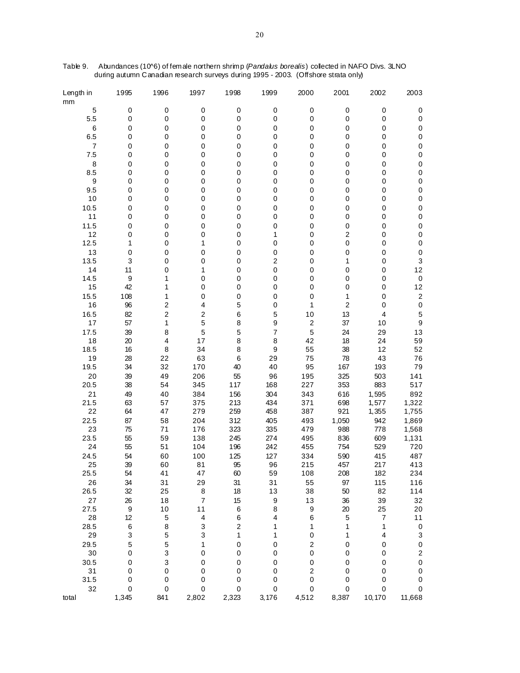| Length in<br>mm | 1995  | 1996                    | 1997           | 1998                    | 1999                    | 2000             | 2001                    | 2002                     | 2003                      |
|-----------------|-------|-------------------------|----------------|-------------------------|-------------------------|------------------|-------------------------|--------------------------|---------------------------|
| 5               | 0     | 0                       | 0              | $\pmb{0}$               | $\pmb{0}$               | $\pmb{0}$        | $\pmb{0}$               | 0                        | 0                         |
| 5.5             | 0     | 0                       | $\mathbf 0$    | 0                       | 0                       | 0                | $\pmb{0}$               | 0                        | $\pmb{0}$                 |
| 6               | 0     | 0                       | 0              | 0                       | 0                       | 0                | 0                       | 0                        | $\pmb{0}$                 |
| 6.5             | 0     | 0                       | 0              | 0                       | 0                       | 0                | 0                       | 0                        | 0                         |
| $\overline{7}$  | 0     | 0                       | 0              | 0                       | 0                       | 0                | 0                       | 0                        | 0                         |
| 7.5             | 0     | 0                       | $\mathbf 0$    | 0                       | 0                       | 0                | 0                       | 0                        | 0                         |
| 8               | 0     | 0                       | 0              | 0                       | 0                       | 0                | 0                       | 0                        | $\pmb{0}$                 |
| 8.5             | 0     | 0                       | 0              | 0                       | 0                       | 0                | 0                       | 0                        | 0                         |
| 9               | 0     | 0                       | 0              | 0                       | $\mathbf 0$             | 0                | 0                       | 0                        | 0                         |
| 9.5             | 0     | 0                       | $\mathbf 0$    | 0                       | 0                       | 0                | 0                       | 0                        | $\pmb{0}$                 |
| 10              | 0     | 0                       | 0              | 0                       | $\mathbf 0$             | 0                | 0                       | 0                        | 0                         |
| 10.5            | 0     | 0                       | 0              | 0                       | 0                       | 0                | 0                       | 0                        | 0                         |
| 11              | 0     | 0                       | $\mathbf 0$    | 0                       | 0                       | 0                | 0                       | 0                        | 0                         |
| 11.5            | 0     | 0                       | $\mathbf 0$    | 0                       | 0                       | 0                | 0                       | 0                        | $\pmb{0}$                 |
| 12              | 0     | 0                       | 0              | 0                       | 1                       | 0                | $\mathbf 2$             | 0                        | 0                         |
| 12.5            | 1     | 0                       | 1              | 0                       | $\mathbf 0$             | 0                | 0                       | 0                        | 0                         |
| 13              | 0     | 0                       | 0              | 0                       | $\mathbf 0$             | 0                | 0                       | 0                        | $\pmb{0}$                 |
| 13.5            | 3     | 0                       | $\mathbf 0$    | 0                       | $\mathbf 2$             | 0                | 1                       | 0                        | 3                         |
| 14              | 11    | 0                       | 1              | 0                       | $\pmb{0}$               | 0                | 0                       | 0                        | 12                        |
| 14.5            | 9     | 1                       | 0              | 0                       | 0                       | 0                | 0                       | 0                        | $\pmb{0}$                 |
| 15              | 42    | 1                       | $\mathbf 0$    | 0                       | 0                       | 0                | 0                       | 0                        | 12                        |
| 15.5            | 108   | 1                       | 0              | 0                       | 0                       | 0                | 1                       | 0                        | $\boldsymbol{2}$          |
| 16              | 96    | 2                       | 4              | 5                       | $\mathbf 0$             | 1                | $\overline{\mathbf{c}}$ | 0                        | $\mathbf 0$               |
| 16.5            | 82    | $\overline{\mathbf{c}}$ | $\mathbf 2$    | 6                       | 5                       | 10               | 13                      | 4                        | 5                         |
| 17              | 57    | 1                       | 5              | 8                       | 9                       | $\boldsymbol{2}$ | 37                      | 10                       | $\boldsymbol{9}$          |
| 17.5            | 39    | 8                       | 5              | 5                       | $\overline{7}$          | 5                | 24                      | 29                       | 13                        |
| 18              | 20    | 4                       | 17             | 8                       | 8                       | 42               | 18                      | 24                       | 59                        |
| 18.5            | 16    | 8                       | 34             | 8                       | 9                       | 55               | 38                      | 12                       | 52                        |
| 19              | 28    | 22                      | 63             | 6                       | 29                      | 75               | 78                      | 43                       | 76                        |
| 19.5            | 34    | 32                      | 170            | 40                      | 40                      | 95               | 167                     | 193                      | 79                        |
| 20              | 39    | 49                      | 206            | 55                      | 96                      | 195              | 325                     | 503                      | 141                       |
| 20.5            | 38    | 54                      | 345            | 117                     | 168                     | 227              | 353                     | 883                      | 517                       |
| 21              | 49    | 40                      | 384            | 156                     | 304                     | 343              | 616                     | 1,595                    | 892                       |
| 21.5            | 63    | 57                      | 375            | 213                     | 434                     | 371              | 698                     | 1,577                    | 1,322                     |
| 22              | 64    | 47                      | 279            | 259                     | 458                     | 387              | 921                     | 1,355                    | 1,755                     |
| 22.5            | 87    | 58                      | 204            | 312                     | 405                     | 493              | 1,050                   | 942                      | 1,869                     |
| 23              | 75    | 71                      | 176            | 323                     | 335                     | 479              | 988                     | 778                      | 1,568                     |
| 23.5            | 55    | 59                      | 138            | 245                     | 274                     | 495              | 836                     | 609                      | 1,131                     |
| 24              | 55    | 51                      | 104            | 196                     | 242                     | 455              | 754                     | 529                      | 720                       |
| 24.5            | 54    | 60                      | 100            | 125                     | 127                     | 334              | 590                     | 415                      | 487                       |
| 25              | 39    | 60                      | 81             | 95                      | 96                      | 215              | 457                     | 217                      | 413                       |
| 25.5            | 54    | 41                      | 47             | 60                      | 59                      | 108              | 208                     | 182                      | 234                       |
| 26              | 34    | 31                      | 29             | 31                      | 31                      | 55               | 97                      | 115                      | 116                       |
| 26.5            | 32    | 25                      | 8              | 18                      | 13                      | 38               | 50                      | 82                       | 114                       |
| 27              | 26    | 18                      | $\overline{7}$ | 15                      | $\boldsymbol{9}$        | 13               | 36                      | 39                       | 32                        |
| 27.5            | 9     | $10$                    | 11             | 6                       | 8                       | 9                | 20                      | 25                       | 20                        |
| 28              | 12    | 5                       | 4              | 6                       | $\overline{\mathbf{4}}$ | 6                | 5                       | $\overline{\mathcal{I}}$ | $11$                      |
| 28.5            | 6     | 8                       | 3              | $\overline{\mathbf{c}}$ | 1                       | 1                | 1                       | 1                        | $\pmb{0}$                 |
| 29              | 3     | 5                       | 3              | 1                       | 1                       | $\pmb{0}$        | 1                       | 4                        | $\ensuremath{\mathsf{3}}$ |
| 29.5            | 5     | 5                       | 1              | 0                       | $\mathbf 0$             | $\overline{c}$   | 0                       | 0                        | $\pmb{0}$                 |
| $30\,$          | 0     | 3                       | 0              | 0                       | $\mathbf 0$             | $\mathbf 0$      | 0                       | 0                        | $\mathbf 2$               |
| 30.5            | 0     | 3                       | $\mathbf 0$    | 0                       | 0                       | 0                | 0                       | 0                        | $\mathbf 0$               |
| 31              | 0     | 0                       | 0              | 0                       | $\mathbf 0$             | $\boldsymbol{2}$ | 0                       | 0                        | 0                         |
| 31.5            | 0     | 0                       | $\mathbf 0$    | 0                       | 0                       | 0                | 0                       | 0                        | 0                         |
| 32              | 0     | $\,0\,$                 | 0              | 0                       | 0                       | 0                | 0                       | 0                        | 0                         |
| total           | 1,345 | 841                     | 2,802          | 2,323                   | 3,176                   | 4,512            | 8,387                   | 10,170                   | 11,668                    |

Table 9. Abundances (10^6) of female northern shrimp (*Pandalus borealis*) collected in NAFO Divs. 3LNO during autumn Canadian research surveys during 1995 - 2003. (Offshore strata only)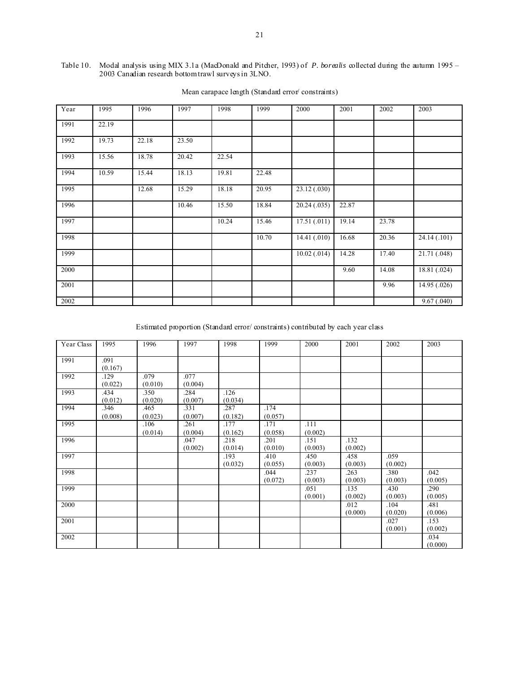#### Table 10. Modal analysis using MIX 3.1a (MacDonald and Pitcher, 1993) of *P. borealis* collected during the autumn 1995 – 2003 Canadian research bottom trawl surveys in 3LNO.

| Year | 1995  | 1996  | 1997  | 1998  | 1999  | 2000           | 2001  | 2002  | 2003         |
|------|-------|-------|-------|-------|-------|----------------|-------|-------|--------------|
| 1991 | 22.19 |       |       |       |       |                |       |       |              |
| 1992 | 19.73 | 22.18 | 23.50 |       |       |                |       |       |              |
| 1993 | 15.56 | 18.78 | 20.42 | 22.54 |       |                |       |       |              |
| 1994 | 10.59 | 15.44 | 18.13 | 19.81 | 22.48 |                |       |       |              |
| 1995 |       | 12.68 | 15.29 | 18.18 | 20.95 | 23.12 (.030)   |       |       |              |
| 1996 |       |       | 10.46 | 15.50 | 18.84 | 20.24(.035)    | 22.87 |       |              |
| 1997 |       |       |       | 10.24 | 15.46 | 17.51(.011)    | 19.14 | 23.78 |              |
| 1998 |       |       |       |       | 10.70 | 14.41(.010)    | 16.68 | 20.36 | 24.14(.101)  |
| 1999 |       |       |       |       |       | $10.02$ (.014) | 14.28 | 17.40 | 21.71 (.048) |
| 2000 |       |       |       |       |       |                | 9.60  | 14.08 | 18.81(.024)  |
| 2001 |       |       |       |       |       |                |       | 9.96  | 14.95(.026)  |
| 2002 |       |       |       |       |       |                |       |       | 9.67(.040)   |

# Mean carapace length (Standard error/ constraints)

Estimated proportion (Standard error/ constraints) contributed by each year class

| Year Class | 1995            | 1996            | 1997            | 1998            | 1999            | 2000            | 2001            | 2002            | 2003            |
|------------|-----------------|-----------------|-----------------|-----------------|-----------------|-----------------|-----------------|-----------------|-----------------|
| 1991       | .091<br>(0.167) |                 |                 |                 |                 |                 |                 |                 |                 |
| 1992       | .129<br>(0.022) | .079<br>(0.010) | .077<br>(0.004) |                 |                 |                 |                 |                 |                 |
| 1993       | .434<br>(0.012) | .350<br>(0.020) | .284<br>(0.007) | .126<br>(0.034) |                 |                 |                 |                 |                 |
| 1994       | .346<br>(0.008) | .465<br>(0.023) | .331<br>(0.007) | .287<br>(0.182) | .174<br>(0.057) |                 |                 |                 |                 |
| 1995       |                 | .106<br>(0.014) | .261<br>(0.004) | .177<br>(0.162) | .171<br>(0.058) | .111<br>(0.002) |                 |                 |                 |
| 1996       |                 |                 | .047<br>(0.002) | .218<br>(0.014) | .201<br>(0.010) | .151<br>(0.003) | .132<br>(0.002) |                 |                 |
| 1997       |                 |                 |                 | .193<br>(0.032) | .410<br>(0.055) | .450<br>(0.003) | .458<br>(0.003) | .059<br>(0.002) |                 |
| 1998       |                 |                 |                 |                 | .044<br>(0.072) | .237<br>(0.003) | .263<br>(0.003) | .380<br>(0.003) | .042<br>(0.005) |
| 1999       |                 |                 |                 |                 |                 | .051<br>(0.001) | .135<br>(0.002) | .430<br>(0.003) | .290<br>(0.005) |
| 2000       |                 |                 |                 |                 |                 |                 | .012<br>(0.000) | .104<br>(0.020) | .481<br>(0.006) |
| 2001       |                 |                 |                 |                 |                 |                 |                 | .027<br>(0.001) | .153<br>(0.002) |
| 2002       |                 |                 |                 |                 |                 |                 |                 |                 | .034<br>(0.000) |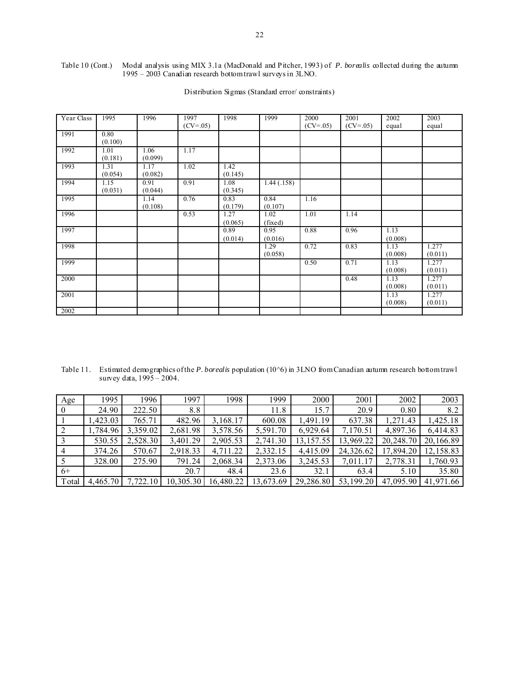#### Table 10 (Cont.) Modal analysis using MIX 3.1a (MacDonald and Pitcher, 1993) of *P. borealis* collected during the autumn 1995 – 2003 Canadian research bottom trawl surveys in 3LNO.

| Year Class | 1995            | 1996            | 1997<br>$(CV = .05)$ | 1998            | 1999            | 2000<br>$(CV = .05)$ | 2001<br>$(CV = .05)$ | 2002<br>equal   | 2003<br>equal    |
|------------|-----------------|-----------------|----------------------|-----------------|-----------------|----------------------|----------------------|-----------------|------------------|
| 1991       | 0.80<br>(0.100) |                 |                      |                 |                 |                      |                      |                 |                  |
| 1992       | 1.01<br>(0.181) | 1.06<br>(0.099) | 1.17                 |                 |                 |                      |                      |                 |                  |
| 1993       | 1.31<br>(0.054) | 1.17<br>(0.082) | 1.02                 | 1.42<br>(0.145) |                 |                      |                      |                 |                  |
| 1994       | 1.15<br>(0.031) | 0.91<br>(0.044) | 0.91                 | 1.08<br>(0.345) | 1.44(0.158)     |                      |                      |                 |                  |
| 1995       |                 | 1.14<br>(0.108) | 0.76                 | 0.83<br>(0.179) | 0.84<br>(0.107) | 1.16                 |                      |                 |                  |
| 1996       |                 |                 | 0.53                 | 1.27<br>(0.065) | 1.02<br>(fixed) | 1.01                 | 1.14                 |                 |                  |
| 1997       |                 |                 |                      | 0.89<br>(0.014) | 0.95<br>(0.016) | 0.88                 | 0.96                 | 1.13<br>(0.008) |                  |
| 1998       |                 |                 |                      |                 | 1.29<br>(0.058) | 0.72                 | 0.83                 | 1.13<br>(0.008) | 1.277<br>(0.011) |
| 1999       |                 |                 |                      |                 |                 | 0.50                 | 0.71                 | 1.13<br>(0.008) | 1.277<br>(0.011) |
| 2000       |                 |                 |                      |                 |                 |                      | 0.48                 | 1.13<br>(0.008) | 1.277<br>(0.011) |
| 2001       |                 |                 |                      |                 |                 |                      |                      | 1.13<br>(0.008) | 1.277<br>(0.011) |
| 2002       |                 |                 |                      |                 |                 |                      |                      |                 |                  |

# Distribution Sigmas (Standard error/constraints)

Table 11. Estimated demographics of the *P. borealis* population (10<sup> $\sim$ </sup>6) in 3LNO from Canadian autumn research bottom trawl survey data, 1995 – 2004.

| Age            | 1995     | 1996     | 1997      | 1998      | 1999      | 2000       | 2001      | 2002      | 2003      |
|----------------|----------|----------|-----------|-----------|-----------|------------|-----------|-----------|-----------|
| $\overline{0}$ | 24.90    | 222.50   | 8.8       |           | 11.8      | 15.7       | 20.9      | 0.80      | 8.2       |
|                | 1,423.03 | 765.71   | 482.96    | 3,168.17  | 600.08    | 1,491.19   | 637.38    | 1,271.43  | 1,425.18  |
|                | 1,784.96 | 3,359.02 | 2,681.98  | 3,578.56  | 5,591.70  | 6,929.64   | 7,170.51  | 4,897.36  | 6,414.83  |
|                | 530.55   | 2,528.30 | 3,401.29  | 2,905.53  | 2,741.30  | 13, 157.55 | 13,969.22 | 20,248.70 | 20,166.89 |
|                | 374.26   | 570.67   | 2,918.33  | 4,711.22  | 2,332.15  | 4,415.09   | 24,326.62 | 17,894.20 | 12,158.83 |
|                | 328.00   | 275.90   | 791.24    | 2,068.34  | 2,373.06  | 3,245.53   | 7,011.17  | 2,778.31  | 1,760.93  |
| $6+$           |          |          | 20.7      | 48.4      | 23.6      | 32.1       | 63.4      | 5.10      | 35.80     |
| Total          | 4.465.70 | 7.722.10 | 10,305.30 | 16,480.22 | 13,673.69 | 29,286.80  | 53,199.20 | 47.095.90 | 41.971.66 |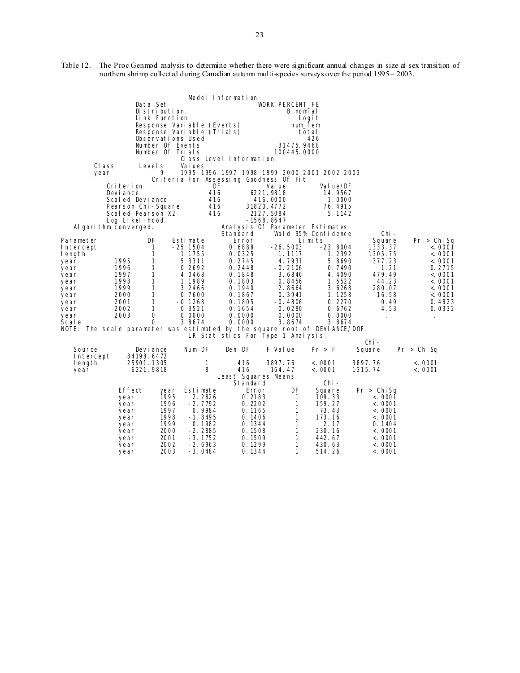Table 12. The Proc Genmod analysis to determine whether there were significant annual changes in size at sex transition of northern shrimp collected during Canadian autumn multi-species surveys over the period 1995 – 2003.

|                                                                             |                                         |                   |                            | Model Information   |                                              |                     |                              |                  |
|-----------------------------------------------------------------------------|-----------------------------------------|-------------------|----------------------------|---------------------|----------------------------------------------|---------------------|------------------------------|------------------|
|                                                                             |                                         | Data Set          |                            |                     | <b>WORK. PERCENT_FE</b>                      |                     |                              |                  |
|                                                                             |                                         | Distribution      |                            |                     | Binomial                                     |                     |                              |                  |
|                                                                             |                                         | Link Function     |                            |                     |                                              | Logi t              |                              |                  |
|                                                                             |                                         |                   | Response Variable (Events) |                     |                                              | num fem             |                              |                  |
|                                                                             |                                         | Observations Used | Response Variable (Trials) |                     |                                              | total<br>426        |                              |                  |
|                                                                             |                                         | Number Of Events  |                            |                     | 31475.9468                                   |                     |                              |                  |
|                                                                             |                                         | Number Of Trials  |                            |                     | 100445, 0000                                 |                     |                              |                  |
|                                                                             |                                         |                   | Class Level Information    |                     |                                              |                     |                              |                  |
| CI ass                                                                      |                                         | Level s           | Val ues                    |                     |                                              |                     |                              |                  |
| year                                                                        |                                         | 9                 |                            |                     | 1995 1996 1997 1998 1999 2000 2001 2002 2003 |                     |                              |                  |
|                                                                             |                                         |                   |                            |                     | Criteria For Assessing Goodness Of Fit       |                     |                              |                  |
|                                                                             | Criterion                               |                   | DF                         |                     | Val ue                                       | Val ue/DF           |                              |                  |
|                                                                             | Devi ance                               |                   | 416                        |                     | 6221.9818                                    | 14.9567             |                              |                  |
|                                                                             | Scaled Deviance                         |                   | 416<br>416                 |                     | 416.0000<br>31820.4772                       | 1.0000              |                              |                  |
|                                                                             | Pearson Chi-Square<br>Scaled Pearson X2 |                   | 416                        |                     | 2127.5084                                    | 76.4915<br>5.1142   |                              |                  |
|                                                                             | Log Likelihood                          |                   |                            |                     | -1568.8647                                   |                     |                              |                  |
| Algorithm converged.                                                        |                                         |                   |                            |                     | Analysis Of Parameter Estimates              |                     |                              |                  |
|                                                                             |                                         |                   |                            | Standard            |                                              | Wald 95% Confidence | Chi -                        |                  |
| Parameter                                                                   |                                         | DF                | Esti mate                  | Error               |                                              | Limits              | Square                       | Pr > Chi Sq      |
| Intercept                                                                   |                                         | $\mathbf{1}$      | $-25.1504$                 | 0.6888              | $-26.5003$                                   | $-23.8004$          | 1333.37                      | < .0001          |
| length                                                                      |                                         | $\mathbf{1}$      | 1.1755                     | 0.0325              | 1.1117                                       | 1.2392              | 1305.75                      | < .0001          |
| year                                                                        | 1995                                    | 1                 | 5.3311                     | 0.2745              | 4.7931                                       | 5.8690              | 377.23                       | < 0001           |
| year<br>year                                                                | 1996<br>1997                            | 1<br>$\mathbf{1}$ | 0.2692<br>4.0468           | 0.2448<br>0.1848    | $-0.2106$<br>3.6846                          | 0.7490<br>4.4090    | 1.21<br>479.49               | 0.2715<br>< 0001 |
| year                                                                        | 1998                                    | $\mathbf{1}$      | 1.1989                     | 0.1803              | 0.8456                                       | 1.5522              | 44.23                        | < 0001           |
| year                                                                        | 1999                                    | $\mathbf{1}$      | 3.2466                     | 0.1940              | 2.8664                                       | 3.6268              | 280.07                       | < 0001           |
| year                                                                        | 2000                                    | $\mathbf{1}$      | 0.7600                     | 0.1867              | 0.3941                                       | 1.1258              | 16.58                        | < 0001           |
| year                                                                        | 2001                                    | $\mathbf{1}$      | $-0.1268$                  | 0.1805              | -0.4806                                      | 0.2270              | 0.49                         | 0.4823           |
| year                                                                        | 2002                                    | $\mathbf{1}$      | 0.3521                     | 0.1654              | 0.0280                                       | 0.6762              | 4.53                         | 0.0332           |
| year                                                                        | 2003                                    | 0                 | 0.0000                     | 0.0000              | 0.0000                                       | 0.0000              | $\sim$                       | $\cdot$          |
| Scal e                                                                      |                                         | $\Omega$          | 3.8674                     | 0.0000              | 3.8674                                       | 3.8674              |                              |                  |
| NOTE: The scale parameter was estimated by the square root of DEVIANCE/DOF. |                                         |                   |                            |                     |                                              |                     |                              |                  |
|                                                                             |                                         |                   |                            |                     | LR Statistics For Type 1 Analysis            |                     | Chi –                        |                  |
| Source                                                                      |                                         | Devi ance         | Num DF                     | Den DF              | F Value                                      | Pr > F              | Square                       | Pr > Chi Sq      |
| Intercept                                                                   | 84198.6472                              |                   |                            |                     |                                              |                     |                              |                  |
| length                                                                      | 25901.1305                              |                   | $\mathbf{1}$               | 416                 | 3897.76                                      | < .0001             | 3897.76                      | < .0001          |
| year                                                                        |                                         | 6221.9818         | 8                          | 416                 | 164.47                                       | < .0001             | 1315.74                      | < .0001          |
|                                                                             |                                         |                   |                            | Least Squares Means |                                              |                     |                              |                  |
|                                                                             |                                         |                   |                            | Standard            |                                              | Chi –               |                              |                  |
|                                                                             | Effect                                  | year              | Estimate                   | Error               | DF                                           | Square              | Pr > ChiSq                   |                  |
|                                                                             | year                                    | 1995              | 2.2826                     | 0.2183              | $\mathbf{1}$                                 | 109.33              | < .0001                      |                  |
|                                                                             | year                                    | 1996<br>1997      | $-2.7792$<br>0.9984        | 0.2202<br>0.1165    | $\mathbf{1}$<br>1                            | 159.27<br>73.43     | < .0001<br>< .0001           |                  |
|                                                                             | year<br>year                            | 1998              | $-1.8495$                  | 0.1406              | $\mathbf{1}$                                 | 173.16              | < .0001                      |                  |
|                                                                             | year                                    | 1999              | 0.1982                     | 0.1344              | $\mathbf{1}$                                 | 2.17                | 0.1404                       |                  |
|                                                                             | year                                    | 2000              | $-2.2885$                  | 0.1508              | $\mathbf{1}$                                 | 230.16              | < .0001                      |                  |
|                                                                             | year                                    | 2001              | $-3.1752$                  | 0.1509              | $\mathbf{1}$                                 | 442.67              | $\langle . \ 0001 \ \rangle$ |                  |
|                                                                             | year                                    | 2002              | $-2.6963$                  | 0.1299              | 1                                            | 430.63              | < .0001                      |                  |
|                                                                             | year                                    | 2003              | -3.0484                    | 0.1344              | 1                                            | 514.26              | $\langle . \ 0001 \ \rangle$ |                  |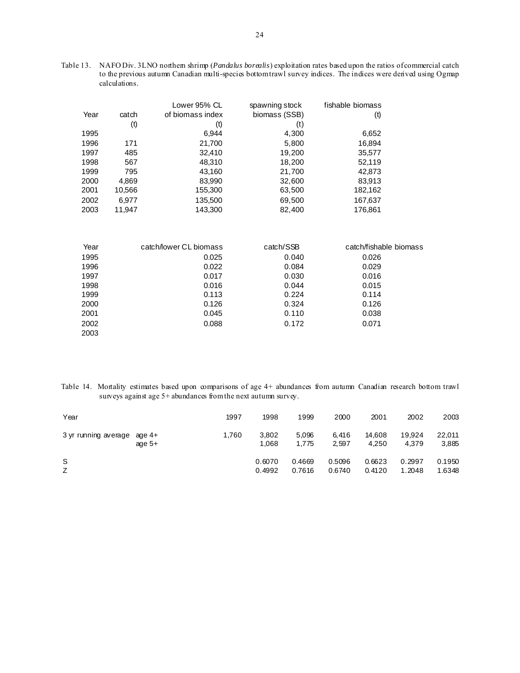Table 13. NAFO Div. 3LNO northern shrimp (*Pandalus borealis*) exploitation rates based upon the ratios of commercial catch to the previous autumn Canadian multi-species bottom trawl survey indices. The indices were derived using Ogmap calculations.

|      |        | Lower 95% CL           | spawning stock | fishable biomass       |
|------|--------|------------------------|----------------|------------------------|
| Year | catch  | of biomass index       | biomass (SSB)  | (t)                    |
|      | (t)    | (t)                    | (t)            |                        |
| 1995 |        | 6,944                  | 4,300          | 6,652                  |
| 1996 | 171    | 21,700                 | 5,800          | 16,894                 |
| 1997 | 485    | 32,410                 | 19,200         | 35,577                 |
| 1998 | 567    | 48,310                 | 18,200         | 52,119                 |
| 1999 | 795    | 43,160                 | 21,700         | 42,873                 |
| 2000 | 4,869  | 83,990                 | 32,600         | 83,913                 |
| 2001 | 10,566 | 155,300                | 63,500         | 182,162                |
| 2002 | 6,977  | 135,500                | 69,500         | 167,637                |
| 2003 | 11,947 | 143,300                | 82,400         | 176,861                |
|      |        |                        |                |                        |
| Year |        | catch/lower CL biomass | catch/SSB      | catch/fishable biomass |
| 1995 |        | 0.025                  | 0.040          | 0.026                  |
| 1996 |        | 0.022                  | 0.084          | 0.029                  |
| 1997 |        | 0.017                  | 0.030          | 0.016                  |
| 1998 |        | 0.016                  | 0.044          | 0.015                  |
| 1999 |        | 0.113                  | 0.224          | 0.114                  |
| 2000 |        | 0.126                  | 0.324          | 0.126                  |
| 2001 |        | 0.045                  | 0.110          | 0.038                  |
| 2002 |        | 0.088                  | 0.172          | 0.071                  |
| 2003 |        |                        |                |                        |

Table 14. Mortality estimates based upon comparisons of age 4+ abundances from autumn Canadian research bottom trawl surveys against age 5+ abundances from the next autumn survey.

| Year                        |          | 1997  | 1998             | 1999             | 2000             | 2001             | 2002             | 2003             |
|-----------------------------|----------|-------|------------------|------------------|------------------|------------------|------------------|------------------|
| 3 yr running average age 4+ | age $5+$ | 1,760 | 3,802<br>1,068   | 5,096<br>1.775   | 6.416<br>2.597   | 14.608<br>4.250  | 19.924<br>4.379  | 22,011<br>3,885  |
| S<br>Z                      |          |       | 0.6070<br>0.4992 | 0.4669<br>0.7616 | 0.5096<br>0.6740 | 0.6623<br>0.4120 | 0.2997<br>1.2048 | 0.1950<br>1.6348 |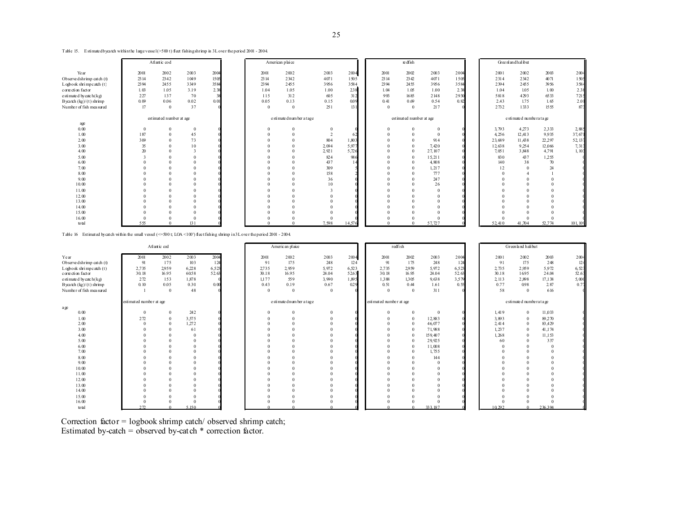| Table 15. Estimated by catch within the large vessel (>500 t) fleet fishing shrimp in 3L over the period 2001 - 2004. |  |
|-----------------------------------------------------------------------------------------------------------------------|--|
|-----------------------------------------------------------------------------------------------------------------------|--|

|                                                                                                                                                | Atlantic cod            |                     |                         |      |                            | American plaice       |              |                       |        | re dfish                 |                        |                       |                          |                       | Greenlandhalibut  |                       |         |  |
|------------------------------------------------------------------------------------------------------------------------------------------------|-------------------------|---------------------|-------------------------|------|----------------------------|-----------------------|--------------|-----------------------|--------|--------------------------|------------------------|-----------------------|--------------------------|-----------------------|-------------------|-----------------------|---------|--|
| Year                                                                                                                                           | 2001                    | 2002                | 2003                    | 2004 |                            | 2001                  | 2002         | 2003                  | 2004   | 2001                     | 2002                   | 2003                  | 2004                     | 2001                  | 2002              | 2003                  | 2004    |  |
| Observe dshrimp catch (t)                                                                                                                      | 23 14                   | 2342                | 1049                    | 1505 |                            | 23 14                 | 2342         | 4071                  | 1505   | 2314                     | 2342                   | 4071                  | 1505                     | 2314                  | 2342              | 4071                  | 1505    |  |
| $L$ ogbook shrimpcatch $(t)$                                                                                                                   | 2394                    | 2455                | 3349                    | 3584 |                            | 2394                  | 2455         | 3956                  | 3584   | 2394                     | 2455                   | 3956                  | 3584                     | 2394                  | 2455              | 3956                  | 3584    |  |
| c orre cti on fact or                                                                                                                          | 1.03                    | 1.05                | 3.19                    | 2.38 |                            | 1 0 4                 | 1.05         | 1.00                  | 238    | 1.04                     | 1.05                   | 1.00                  | 2.38                     | 1.04                  | 1.05              | 1.00                  | 2.38    |  |
| e sti mate d bycatch $(kg)$                                                                                                                    | 227                     | 137                 | 70                      | 38   |                            | 115                   | 312          | 605                   | 312    | 993                      | 1685                   | 2148                  | 2930                     | 5818                  | 4293              | 6533                  | 7215    |  |
| B yea tch $(kg)/(t)$ shrimp                                                                                                                    | 0.09                    | 0.06                | 0.02                    | 0.01 |                            | 0.05                  | 0.13         | 0.15                  | 0.09   | 0.41                     | 0.69                   | 0.54                  | 0.82                     | 2.43                  | 1.75              | 1.65                  | 2.01    |  |
| Number of fish measured                                                                                                                        | 17                      | $\mathbf{0}$        | 37                      |      |                            | $\Omega$              | $\Omega$     | 251                   | 13     | $\Omega$                 | $\theta$               | 217                   |                          | 2732                  | 1333              | 1555                  | 873     |  |
|                                                                                                                                                | estimated number at age |                     |                         |      | e sti mate dnum ber a tage |                       |              |                       |        | est imated number at age |                        |                       | e stimate d'numbe ratage |                       |                   |                       |         |  |
| age                                                                                                                                            |                         |                     |                         |      |                            |                       |              |                       |        |                          |                        |                       |                          |                       |                   |                       |         |  |
| $0.00$                                                                                                                                         |                         |                     | $\bf{0}$                |      |                            |                       |              | $\mathbf{0}$          |        | $\overline{0}$           |                        |                       |                          | 3,793                 | 4,273             | 2.333                 | 2,885   |  |
| 1.00                                                                                                                                           | 187                     |                     | 45                      |      |                            |                       |              | $\overline{2}$        | 62     | $\Omega$                 | $\Omega$               |                       |                          | 4,256                 | 12,413            | 9,935                 | 37,671  |  |
| 200                                                                                                                                            | 309                     |                     | 73                      |      |                            |                       |              | 804                   | 1,803  | $\theta$                 | $\theta$               | 914                   |                          | 23,689                | 11,438            | 22,297                | 52, 137 |  |
| 3.00                                                                                                                                           | 35                      |                     | 10                      |      |                            |                       |              | 2.094                 | 5,97   | $\Omega$                 | $\Omega$               | 7,420                 |                          | 12,638                | 9.254             | 12,066                | 7,313   |  |
| 400                                                                                                                                            | 20                      |                     | $\overline{\mathbf{3}}$ |      |                            |                       |              | 2,921                 | 5,726  | $\theta$                 | $\Omega$               | 27, 107               |                          | 7,051                 | 3,848             | 4,791                 | 1,103   |  |
| 5.00                                                                                                                                           |                         |                     | $\Omega$                |      |                            |                       |              | 824                   | 986    | $\Omega$                 | $\Omega$               | 15, 211               |                          | 830                   | 437               | 1,255                 |         |  |
| 6.00                                                                                                                                           |                         |                     | $\Omega$                |      |                            |                       |              | 437                   |        | $\Omega$                 | $\Omega$               | 4,808                 |                          | 140                   | 38                | 70                    |         |  |
| 7.00                                                                                                                                           |                         |                     | $\Omega$                |      |                            |                       |              | 309                   |        | $\Omega$                 | $\theta$               | 1, 217                |                          | 12                    | $\Omega$          | 24                    |         |  |
| 800                                                                                                                                            |                         |                     | $\Omega$                |      |                            |                       |              | 158                   |        | $\Omega$                 | $\Omega$               | 777                   |                          | $\Omega$              |                   |                       |         |  |
| 9.00                                                                                                                                           |                         |                     | $\Omega$                |      |                            |                       |              | 36                    |        | $\Omega$                 |                        | 247                   |                          |                       |                   |                       |         |  |
| 10.00                                                                                                                                          |                         |                     | $\Omega$                |      |                            |                       |              | 10                    |        | $\Omega$                 |                        | 26                    |                          |                       |                   |                       |         |  |
| 11.00                                                                                                                                          |                         |                     | $\Omega$                |      |                            |                       |              |                       |        |                          |                        |                       |                          |                       |                   |                       |         |  |
| 12.00                                                                                                                                          |                         |                     |                         |      |                            |                       |              |                       |        |                          |                        |                       |                          |                       |                   |                       |         |  |
| 13.00                                                                                                                                          |                         |                     |                         |      |                            |                       |              | $\Omega$              |        |                          |                        |                       |                          |                       |                   |                       |         |  |
| 14.00                                                                                                                                          |                         |                     |                         |      |                            |                       |              |                       |        |                          |                        |                       |                          |                       |                   |                       |         |  |
| 15.00                                                                                                                                          |                         |                     | $\Omega$                |      |                            |                       |              | $\Omega$              |        | $\Omega$                 |                        |                       |                          |                       |                   |                       |         |  |
| 16.00                                                                                                                                          |                         |                     | $\Omega$                |      |                            |                       |              | $\Omega$              |        |                          |                        |                       |                          |                       |                   | $\Omega$              |         |  |
| total                                                                                                                                          | 555                     |                     | 131                     |      |                            |                       |              | 7.598                 | 14.576 | $\Omega$                 | $\Omega$               | 57.727                |                          | 52.410                | 41.704            | 52.774                | 101.109 |  |
| Estimated by catch within the small vessel ( $\leq 500$ t LOA $\leq 100$ ) fleet fishing shrimp in 3L over the period 2001 - 2004.<br>Table 16 |                         |                     |                         |      |                            |                       |              |                       |        |                          |                        |                       |                          |                       |                   |                       |         |  |
|                                                                                                                                                | Atl ant ic cod          |                     |                         |      |                            | Americ an plaice      |              |                       |        | redfish                  |                        |                       |                          |                       | Greenland halibut |                       |         |  |
| Year<br>.<br>$\sim$<br>and the state of the state of                                                                                           | 2001<br>$\sim$          | 2002<br>$\sim$ $ -$ | 2003<br>$\sim$          | 2004 |                            | 2001<br>$\sim$ $\sim$ | 2002<br>$-1$ | 2003<br>$\sim$ $\sim$ | 2004   | 2001<br>$\sim$           | 2002<br>$\overline{a}$ | 2003<br>$\sim$ $\sim$ | 2004                     | 2001<br>$\sim$ $\sim$ | 2002<br>$\sim$    | 2003<br>$\sim$ $\sim$ | 2004    |  |

| Year                         | 2001  | 2002     | 2003  | 2004  | 2001     | 2002                       | 2003           | 2004                      | 2001     | 2002         | 2003      | 2004                    | 2001   | 2002           | 2003   | 2004  |
|------------------------------|-------|----------|-------|-------|----------|----------------------------|----------------|---------------------------|----------|--------------|-----------|-------------------------|--------|----------------|--------|-------|
| Observe dshrimp catch (t)    | 91    | 175      | 103   | 124   | 91       | 175                        | 248            | 124                       | 91       | 175          | 248       | 124                     | 91     | 175            | 248    | 124   |
| $L$ ogbook shrimpcatch $(t)$ | 2,735 | 2959     | 6,228 | 6,523 | 2735     | 2.959                      | 5,972          | 6,523                     | 2,735    | 2959         | 5,972     | 6,523                   | 2,735  | 2.959          | 5,972  | 6,523 |
| c orie cti on fact or        | 30.18 | 16.95    | 60.58 | 52.63 | 30.18    | 16.95                      | 24.04          | 52.63                     | 30.18    | 16.95        | 24.04     | 52.63                   | 30.18  | 1695           | 24.04  | 52.63 |
| e sti mate d by catch (kg)   | 272   | 153      | 1,878 |       | 1.177    | 559                        | 3,990          | 1,895                     | 1,388    | 1,305        | 9.638     | 3.579                   | 2, 113 | 2,898          | 17,138 | 5,000 |
| Byca tch $(kg)/(t)$ shrimp   | 0.10  | 0.05     | 0.30  | 0.00  | 0.43     | 0.19                       | 0.67           | 0.29                      | 0.51     | 0.44         | 1.61      | 0.55                    | 0.77   | 098            | 2.87   | 0.77  |
| Number of fish measured      |       | $\theta$ | 48    |       | $\Omega$ | $\theta$                   | $\overline{0}$ |                           | $\Omega$ | $\theta$     | 311       |                         | 58     | $\overline{0}$ | 616    |       |
| esti mat ed number at age    |       |          |       |       |          | e sti mate dnum ber a tage |                | esti mat ed number at age |          |              |           | e stimate d'numberatage |        |                |        |       |
| age                          |       |          |       |       |          |                            |                |                           |          |              |           |                         |        |                |        |       |
| 0.00                         |       |          | 242   |       |          |                            | $\mathbf{0}$   |                           | $\Omega$ | $\mathbf{0}$ |           |                         | 1,419  | $\overline{0}$ | 11,033 |       |
| 1.00                         | 272   |          | 3,575 |       |          |                            | $\theta$       |                           | $\Omega$ | $\mathbf{0}$ | 12,883    |                         | 3,893  | $\mathbf{0}$   | 89,270 |       |
| 200                          |       |          | 1,272 |       |          |                            |                |                           | $\Omega$ | $\mathbf{0}$ | 46,077    |                         | 2,414  | $\overline{0}$ | 83,429 |       |
| 3.00                         |       |          | 61    |       |          |                            | $\Omega$       |                           | $\Omega$ | $\mathbf{0}$ | 71,988    |                         | 1, 237 | $\Omega$       | 41,174 |       |
| 400                          |       |          |       |       |          |                            |                |                           | $\Omega$ | $\mathbf{0}$ | 159,407   |                         | 1,268  | $\overline{0}$ | 11,153 |       |
| $5.00$                       |       |          |       |       |          |                            |                |                           |          | $\mathbf{0}$ | 29,925    |                         | 60     | $\Omega$       | 337    |       |
| 6.00                         |       |          |       |       |          |                            |                |                           |          | $\Omega$     | 11,008    |                         |        |                |        |       |
| 7.00                         |       |          |       |       |          |                            |                |                           |          | $\Omega$     | 1,755     |                         |        |                |        |       |
| 800                          |       |          |       |       |          |                            |                |                           |          | $\Omega$     | 144       |                         |        |                |        |       |
| 9.00                         |       |          |       |       |          |                            |                |                           |          |              |           |                         |        |                |        |       |
| 10.00                        |       |          |       |       |          |                            |                |                           |          |              |           |                         |        |                |        |       |
| 11.00                        |       |          |       |       |          |                            |                |                           |          |              |           |                         |        |                |        |       |
| 12.00                        |       |          |       |       |          |                            |                |                           |          |              |           |                         |        |                |        |       |
| 13.00                        |       |          |       |       |          |                            |                |                           |          |              |           |                         |        |                |        |       |
| 1400                         |       |          |       |       |          |                            |                |                           |          |              |           |                         |        |                |        |       |
| 15.00                        |       |          |       |       |          |                            |                |                           |          |              |           |                         |        |                |        |       |
| 16.00                        |       |          |       |       |          |                            |                |                           |          |              |           |                         |        |                |        |       |
| total                        | 27    |          | 5.150 |       |          |                            |                |                           |          |              | 33 3 18 7 |                         | 10.292 |                | 236394 |       |

Correction factor = logbook shrimp catch/ observed shrimp catch; Estimated by-catch = observed by-catch \* correction factor.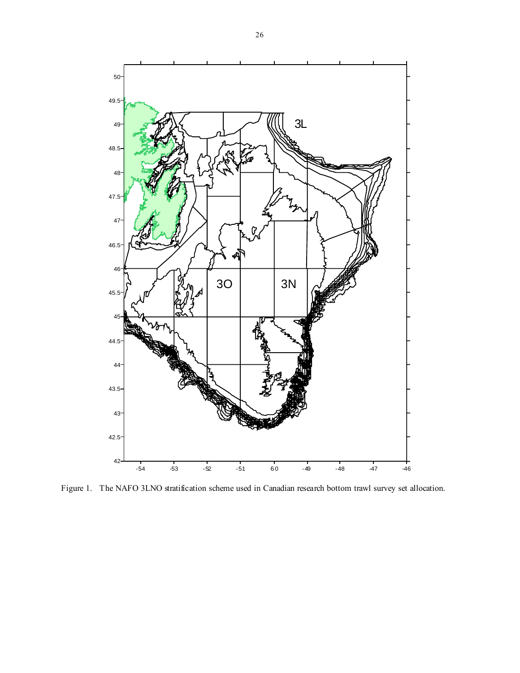

Figure 1. The NAFO 3LNO stratification scheme used in Canadian research bottom trawl survey set allocation.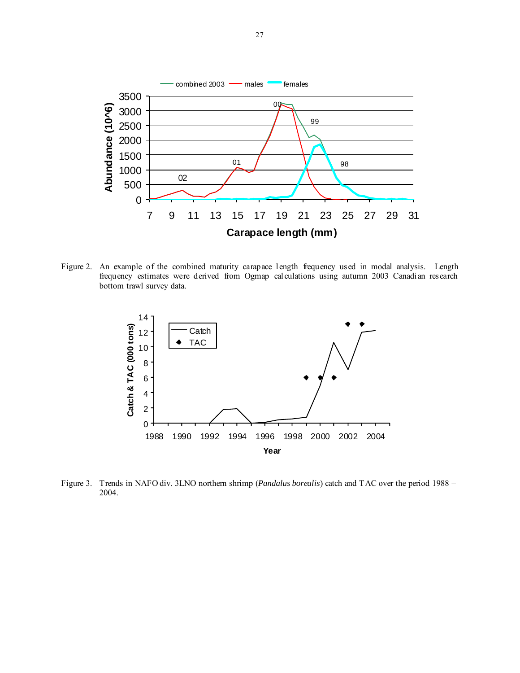

Figure 2. An example of the combined maturity carapace length frequency used in modal analysis. Length frequency estimates were derived from Ogmap calculations using autumn 2003 Canadian research bottom trawl survey data.



Figure 3. Trends in NAFO div. 3LNO northern shrimp (*Pandalus borealis*) catch and TAC over the period 1988 – 2004.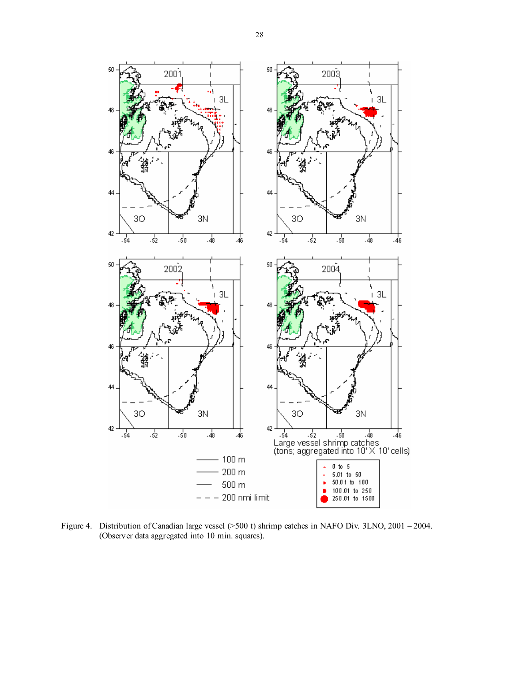



Figure 4. Distribution of Canadian large vessel (>500 t) shrimp catches in NAFO Div. 3LNO, 2001 – 2004. (Observer data aggregated into 10 min. squares).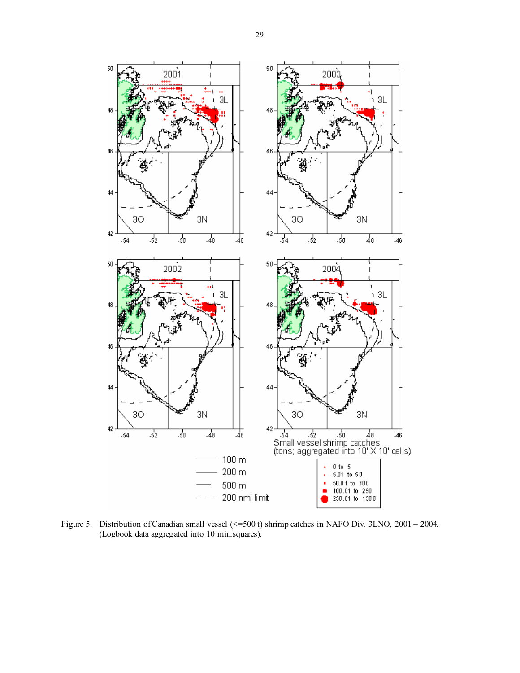

Figure 5. Distribution of Canadian small vessel (<=500 t) shrimp catches in NAFO Div. 3LNO, 2001 – 2004. (Logbook data aggregated into 10 min.squares).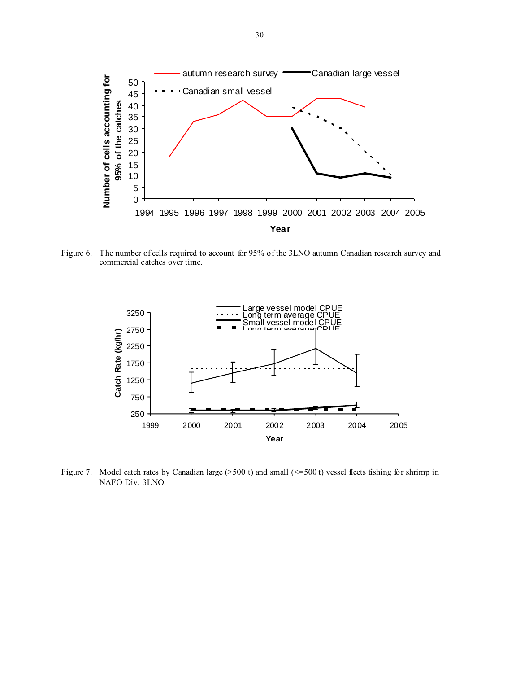

Figure 6. The number of cells required to account for 95% of the 3LNO autumn Canadian research survey and commercial catches over time.



Figure 7. Model catch rates by Canadian large (>500 t) and small (<=500 t) vessel fleets fishing for shrimp in NAFO Div. 3LNO.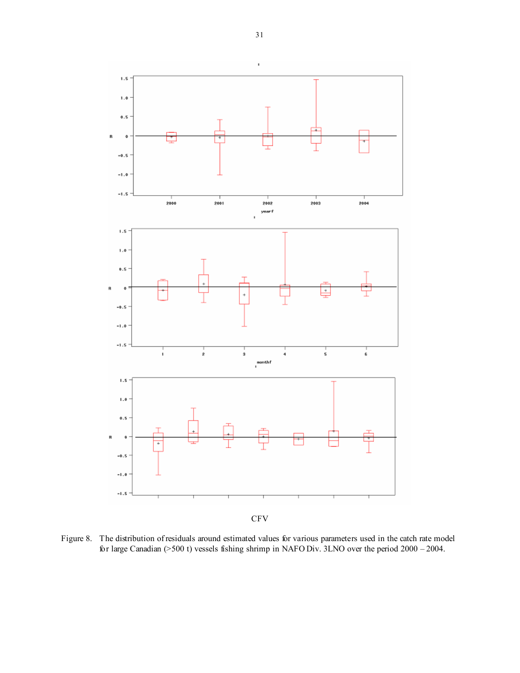×



**CFV** 

Figure 8. The distribution of residuals around estimated values for various parameters used in the catch rate model for large Canadian (>500 t) vessels fishing shrimp in NAFO Div. 3LNO over the period 2000 – 2004.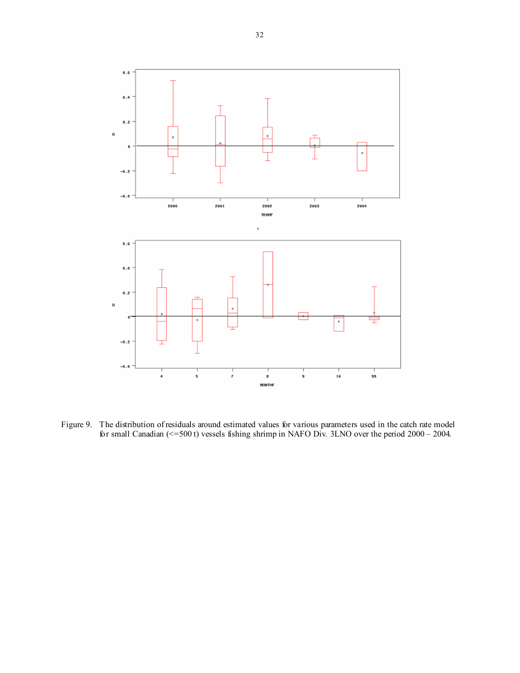

Figure 9. The distribution of residuals around estimated values for various parameters used in the catch rate model for small Canadian (<=500 t) vessels fishing shrimp in NAFO Div. 3LNO over the period 2000 – 2004.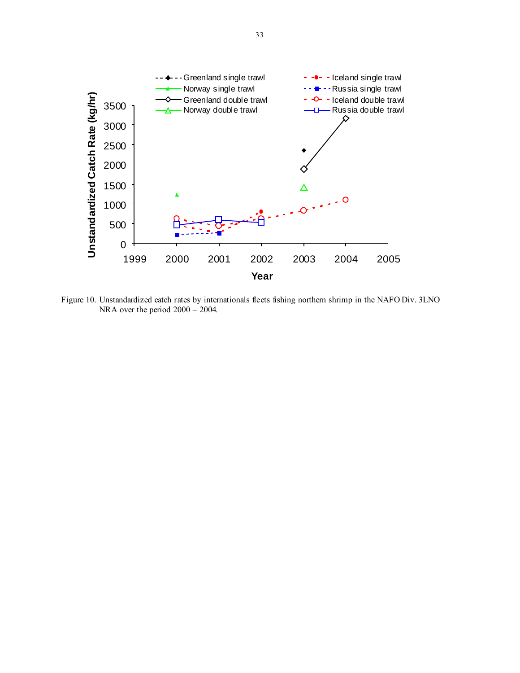

Figure 10. Unstandardized catch rates by internationals fleets fishing northern shrimp in the NAFO Div. 3LNO NRA over the period 2000 – 2004.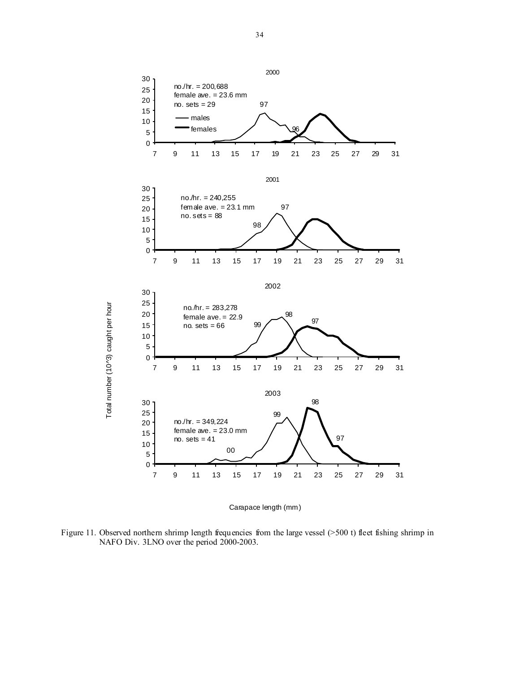

Total number (10^3) caught per hour

Carapace length (mm)

Figure 11. Observed northern shrimp length frequencies from the large vessel (>500 t) fleet fishing shrimp in NAFO Div. 3LNO over the period 2000-2003.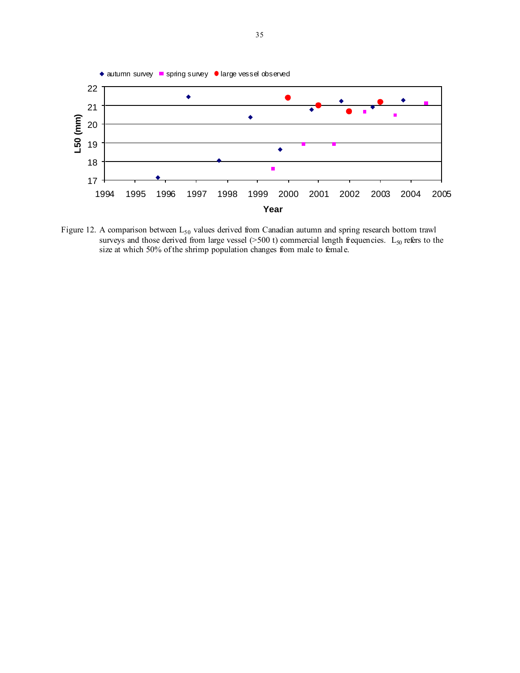

Figure 12. A comparison between  $L_{50}$  values derived from Canadian autumn and spring research bottom trawl surveys and those derived from large vessel ( $>500$  t) commercial length frequencies. L<sub>50</sub> refers to the size at which 50% of the shrimp population changes from male to female.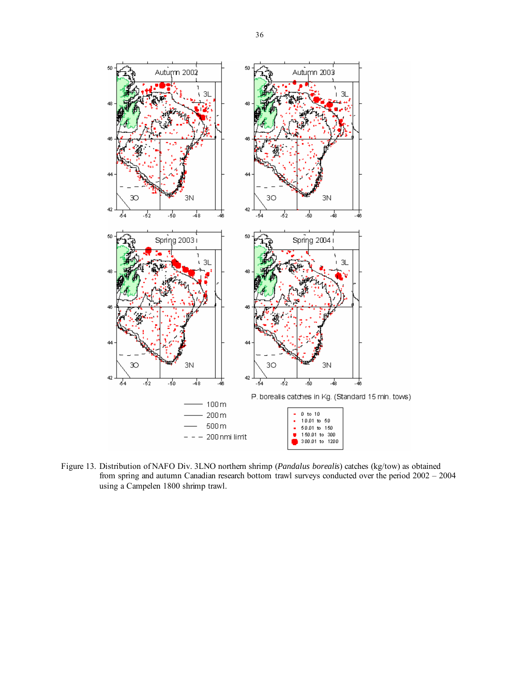

Figure 13. Distribution of NAFO Div. 3LNO northern shrimp (*Pandalus borealis*) catches (kg/tow) as obtained from spring and autumn Canadian research bottom trawl surveys conducted over the period 2002 – 2004 using a Campelen 1800 shrimp trawl.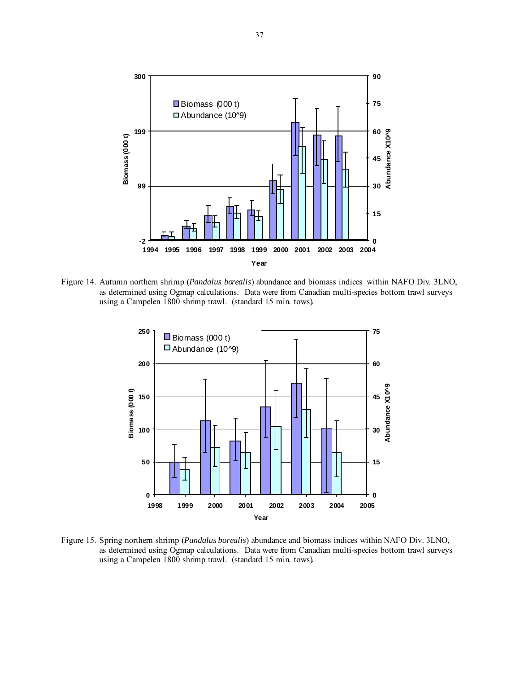

Figure 14. Autumn northern shrimp (*Pandalus borealis*) abundance and biomass indices within NAFO Div. 3LNO, as determined using Ogmap calculations. Data were from Canadian multi-species bottom trawl surveys using a Campelen 1800 shrimp trawl. (standard 15 min. tows).



Figure 15. Spring northern shrimp (*Pandalus borealis*) abundance and biomass indices within NAFO Div. 3LNO, as determined using Ogmap calculations. Data were from Canadian multi-species bottom trawl surveys using a Campelen 1800 shrimp trawl. (standard 15 min. tows).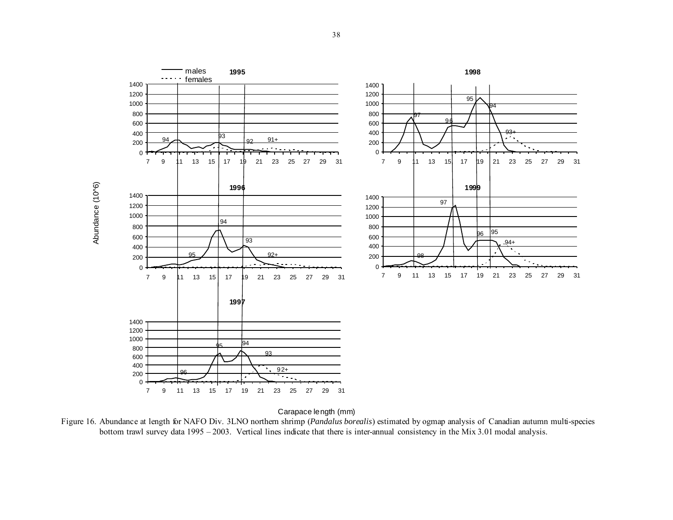

Carapace length (mm)

Figure 16. Abundance at length for NAFO Div. 3LNO northern shrimp (*Pandalus borealis*) estimated by ogmap analysis of Canadian autumn multi-species bottom trawl survey data 1995 – 2003. Vertical lines indicate that there is inter-annual consistency in the Mix 3.01 modal analysis.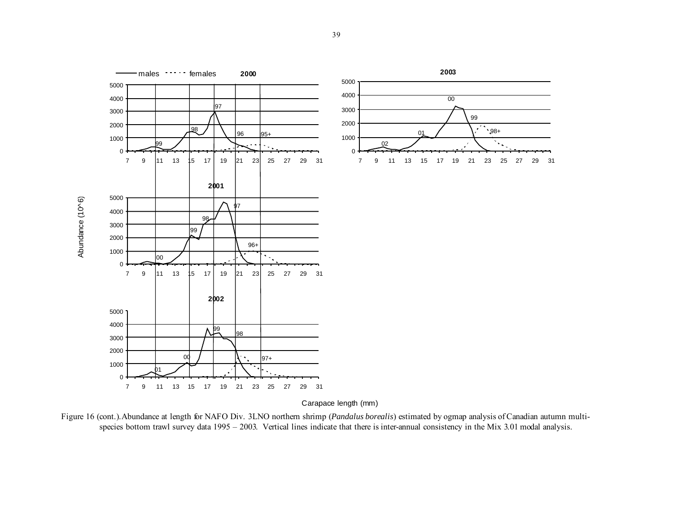

Figure 16 (cont.).Abundance at length for NAFO Div. 3LNO northern shrimp (*Pandalus borealis*) estimated by ogmap analysis of Canadian autumn multispecies bottom trawl survey data 1995 – 2003. Vertical lines indicate that there is inter-annual consistency in the Mix 3.01 modal analysis.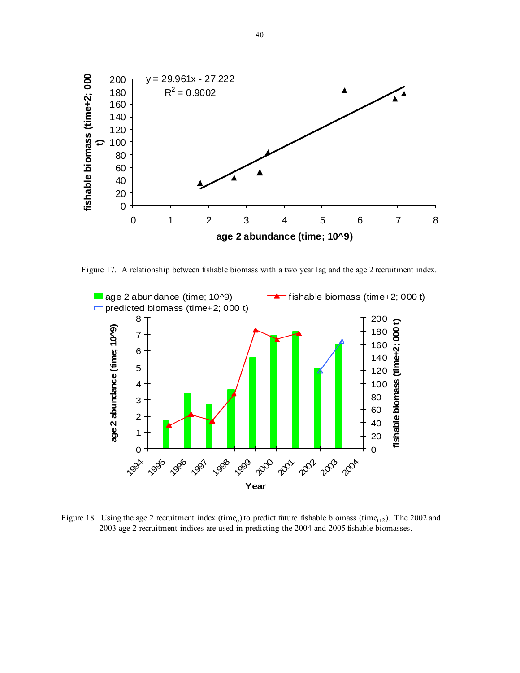

Figure 17. A relationship between fishable biomass with a two year lag and the age 2 recruitment index.



Figure 18. Using the age 2 recruitment index (time<sub>o</sub>) to predict future fishable biomass (time<sub>t+2</sub>). The 2002 and 2003 age 2 recruitment indices are used in predicting the 2004 and 2005 fishable biomasses.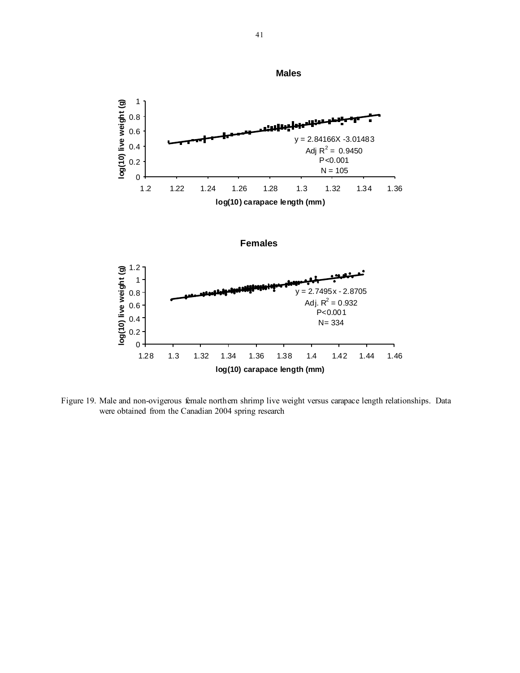

Figure 19. Male and non-ovigerous female northern shrimp live weight versus carapace length relationships. Data were obtained from the Canadian 2004 spring research

**Males**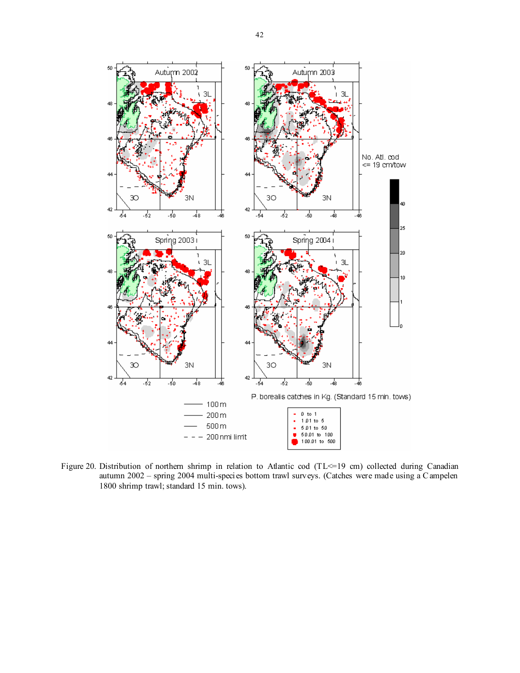

Figure 20. Distribution of northern shrimp in relation to Atlantic cod (TL <= 19 cm) collected during Canadian autumn 2002 – spring 2004 multi-species bottom trawl surveys. (Catches were made using a C ampelen 1800 shrimp trawl; standard 15 min. tows).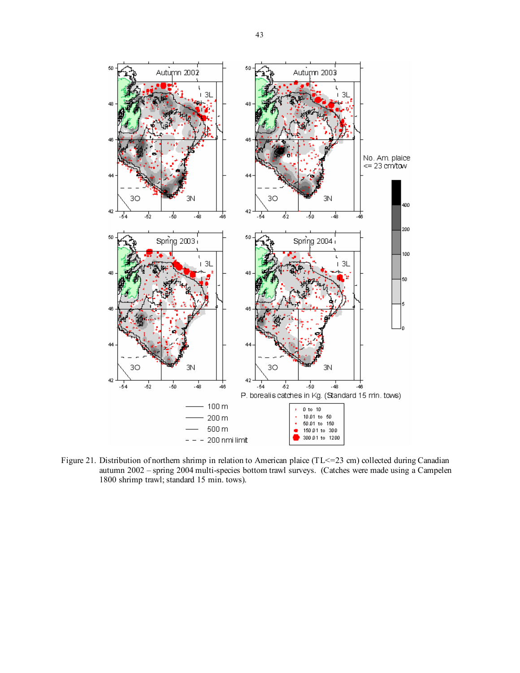

Figure 21. Distribution of northern shrimp in relation to American plaice (TL <= 23 cm) collected during Canadian autumn 2002 – spring 2004 multi-species bottom trawl surveys. (Catches were made using a Campelen 1800 shrimp trawl; standard 15 min. tows).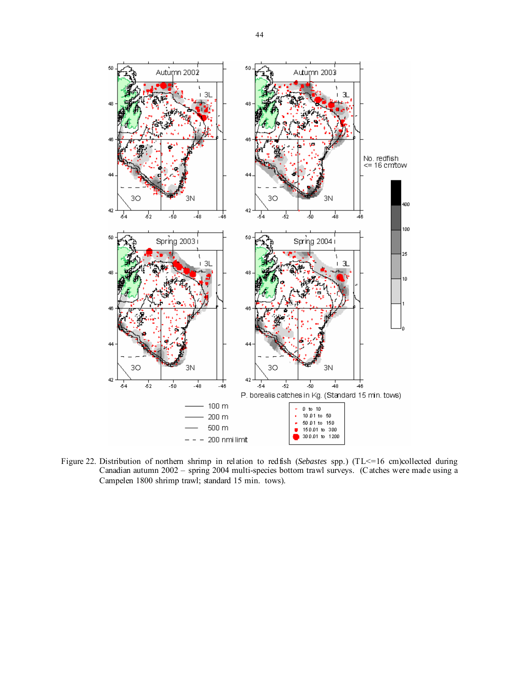

Figure 22. Distribution of northern shrimp in relation to redfish (*Sebastes* spp.) (TL<=16 cm)collected during Canadian autumn 2002 – spring 2004 multi-species bottom trawl surveys. (C atches were made using a Campelen 1800 shrimp trawl; standard 15 min. tows).